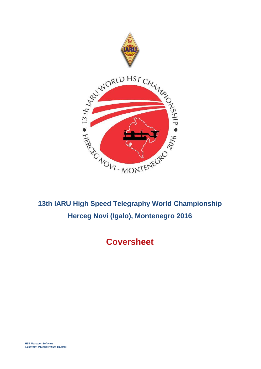

# **Coversheet**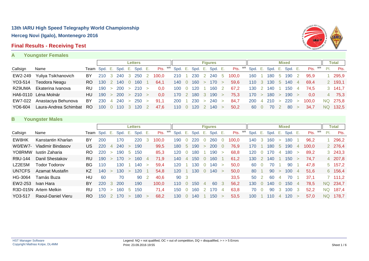### **Final Results - Receiving Test**





|          |                       |                              |       |              |                                                   |          | <b>Letters</b> |                                            |               |       | <b>Figures</b>                  |                                 |            |        |           |             | <b>Mixed</b>        |                |                  |     | Total     |
|----------|-----------------------|------------------------------|-------|--------------|---------------------------------------------------|----------|----------------|--------------------------------------------|---------------|-------|---------------------------------|---------------------------------|------------|--------|-----------|-------------|---------------------|----------------|------------------|-----|-----------|
| Callsign | Name                  | Team Spd. E. Spd. E. Spd. E. |       |              |                                                   |          |                | Pts. <sup>WR</sup> Spd. E. Spd. E. Spd. E. |               |       |                                 | Pts. WR Spd. E. Spd. E. Spd. E. |            |        |           |             |                     |                | Pts. WR          | PI. | Pts.      |
| EW2-249  | Yuliya Tsikhanovich   | BY                           | 210   | $\mathbf{3}$ | 240                                               | $\sim$ 3 | -250           | 100.0                                      | 210           |       | 230 2 240 5                     | 100.0                           | 160        |        | 180.      | $5^{\circ}$ | 190                 |                | 95.9             |     | 295,9     |
| YO3-514  | <b>Teodora Neagu</b>  | RO.                          | - 130 |              | 140 0                                             |          | 160            | 64.1                                       | 140 0         |       | 160 > 170 >                     | 59,6                            |            |        | 110 3 130 |             | 5 140 4             |                | 69.4             |     | 2 193,1   |
| RZ9UMA   | Ekaterina Ivanova     | RU.                          |       |              | 190 > 200 > 210 >                                 |          |                | 0.0                                        | $100 \quad 0$ | 120 1 | 160 2                           | 67.2                            | 130        |        | 140       |             | 150                 | $\overline{4}$ | 74.5             |     | 3, 141, 7 |
|          | HA6-0110 Léna Molnár  | HU                           |       |              | $190 \rightarrow 200 \rightarrow 210 \rightarrow$ |          |                | 0.0                                        |               |       | $170$ 2 180 3 190 >             | 75.3                            | 170        | $\geq$ | 180 >     |             | 190 >               |                | 0.0 <sub>1</sub> |     | 4 75,3    |
| EW7-022  | Anastaciya Behunova   | BY                           | 230   |              | $4\,240 >$                                        |          | 250 >          | 91.1                                       | 200 1         |       | 230 > 240 >                     | 84.7                            | <b>200</b> |        |           |             | $4$ 210 $>$ 220 $>$ |                | 100.0            |     | NQ 275,8  |
| YO6-604  | Laura-Andrea Schimbat | RO.                          |       |              | $100 \t 0 \t 110 \t 3$                            |          | 120            | 47.6                                       |               |       | $110 \t 0 \t 120 \t 2 \t 140 >$ | 50.2                            | 60         |        | 70        |             | 80                  |                | 34.7             | NQ. | 132,5     |

### **B Youngster Males**

|          |                          |           |         |        |      |                          | <b>Letters</b>  |        |       |    |         |             |      |        | <b>Figures</b> |        |            |      |    |      |             | <b>Mixed</b> |   |       |    |           | Total          |
|----------|--------------------------|-----------|---------|--------|------|--------------------------|-----------------|--------|-------|----|---------|-------------|------|--------|----------------|--------|------------|------|----|------|-------------|--------------|---|-------|----|-----------|----------------|
| Callsign | Name                     | Team      | Spd. E. |        | Spd. | Ε.                       | Spd.            | Ε.     | Pts.  | WR | Spd. E. |             | Spd. | Ε.     | Spd. E.        |        | WR<br>Pts. | Spd. | Έ. | Spd. | Έ.          | Spd. E.      |   | Pts.  | WR | PI.       | Pts.           |
| EW8HK    | Kanstantin Kharlan       | BY        | 200     |        | 170  |                          | 220             |        | 100.0 |    | 190     |             | 220  |        | 260            | U      | 100.0      | 140  | 3  | 160  | $\geq$      | 180          |   | 96,2  |    |           | 296,2          |
| W0/EW7-  | <b>Vladimir Bindasov</b> | US.       | 220     | 4      | 240  | $\geq$                   | 190             |        | 99,5  |    | 180     | $\mathbf b$ | 190  | $\geq$ | 200            | U      | 76,9       | 170  |    | 180  | $5^{\circ}$ | 190          | 4 | 100,0 |    |           | 2 276,4        |
| YO8RMW   | Iustin Zaharia           | RO.       | 220     | $\geq$ | 190  |                          | 150             |        | 85,3  |    | 120     |             | 180  |        | 190            | $\geq$ | 68,8       | 120  |    | 170  |             | 18C          |   | 89,2  |    |           | $3\quad 243,3$ |
| R9U-144  | Danil Shestakov          | <b>RU</b> | 190     |        | 170  | $\geq$                   | 160             | 4      | 71,9  |    | 140     | 4           | 150  |        | 160            |        | 61,2       | 130  |    | 140  |             | 150          |   | 74,7  |    |           | 4 207,8        |
| LZ2ESM   | Todor Todorov            | BG.       | 110     |        | 130  |                          | 140             | ⇒      | 59,4  |    | 20      |             | 30   |        | 140            | $\geq$ | 50,0       | 60   |    | 70   |             | 90           |   | 47,8  |    |           | $5\quad 157,2$ |
| UN7CFS   | Azamat Mustafin          | KZ.       | 140     |        | 130  | $\geq$                   | 120             |        | 54,8  |    | 120     |             | 30   |        | 140            | $\geq$ | 50,0       | 80   |    | 90   | ↘           | 100          | 4 | 51,6  |    |           | 6 156,4        |
| HG-3064  | Tamás Buza               | HU        | 60      |        | 70   |                          | 90              |        | 40,6  |    | 90      | - 3         |      |        |                |        | 33,5       | 50   |    | -60  |             | 70           |   | 37,1  |    |           | 7 111,2        |
| EW2-253  | Ivan Hara                | BY        | 220     | 3      | 200  |                          | 190             |        | 100,0 |    | 110     | 0           | 150  | 4      | 60             | 3      | 56,2       | 130  |    | 140  | $\cup$      | 150          | 4 | 78.5  |    | NQ.       | 234.7          |
|          | R3D-015N Artem Melkin    | RU        | 170     | $\geq$ | 160  | h                        | 15 <sub>C</sub> |        | 71.4  |    | 150     |             | 160  |        | 170            | 4      | 63,8       | 70   |    | 90   |             | 100          |   | 52,2  |    | <b>NQ</b> | 187,4          |
| YO3-517  | Raoul-Daniel Vieru       | RO.       | 150     |        | 170  | $\overline{\phantom{0}}$ | 180             | $\geq$ | 68,2  |    | 130     | $\Omega$    | 140  |        | 150            | $\geq$ | 53,5       | 100  |    | 10   | 4           | 120          |   | 57.0  |    | NQ.       | 178.7          |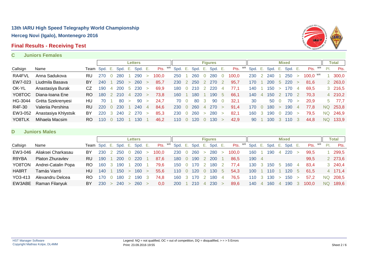### **Final Results - Receiving Test**



#### **C Juniors Females**

|          |                      |           |              |                |            |                | <b>Letters</b> |                |         |         |                |                  |                | <b>Figures</b>   |                |         |         |                |            |        | <b>Mixed</b> |   |                 |     | Total    |
|----------|----------------------|-----------|--------------|----------------|------------|----------------|----------------|----------------|---------|---------|----------------|------------------|----------------|------------------|----------------|---------|---------|----------------|------------|--------|--------------|---|-----------------|-----|----------|
| Callsign | Name                 |           | Team Spd. E. |                | Spd. E.    |                | Spd. E.        |                | Pts. WR | Spd. E. |                | Spd. E.          |                | Spd. E.          |                | Pts. WR | Spd. E. |                | Spd. E.    |        | Spd. E.      |   | Pts. WR         | PI. | Pts.     |
| RA4FVL   | Anna Sadukova        | RU        | 270          |                | 280        |                | 290            | $\geq$         | 100.0   | 250     |                | 260              | $\Omega$       | 280              | - 0            | 100.0   | 230     |                | 240        |        | 250          |   | $100.0$ $W_{R}$ |     | 300,0    |
| EW7-023  | Liudmila Basava      | BY        | 240          |                | 250        | $\geq$         | 260            | $\geq$         | 85,7    | 230     | $\overline{2}$ | 250              | 2              | <b>270</b>       |                | 95.7    | 170     |                | <b>200</b> | 5      | <b>220</b>   |   | 81.6            |     | 2 263,0  |
| OK-YL    | Anastasiya Burak     | CZ        | 190          | $\overline{a}$ | <b>200</b> | $5^{\circ}$    | 230            | $\geq$         | 69.9    | 180     | $\overline{0}$ | 210              | $\overline{2}$ | 220              | 4              | 77.1    | 140     |                | 150        | $\geq$ | 170          | 4 | 69.5            |     | 3 216,5  |
| YO8TOC   | Diana-Ioana Ene      | RO        | 180          | $\mathcal{L}$  | 210        | $\overline{4}$ | 220            | $\geq$         | 73.8    | 160     |                | 180              |                | 190              | -5             | 66,1    | 140.    | $\overline{4}$ | 150        |        | 170          |   | 70.3            |     | 4 210,2  |
| HG-3044  | Gréta Szekrenyesi    | HU        | 70           |                | -80        | $\geq$         | 90             | $\geq$         | 24.7    | 70      | $\overline{0}$ | 80               | 3              | -90              | $\overline{0}$ | 32.1    | 30      |                | 50         |        | 70           |   | <b>20.9</b>     |     | $5$ 77,7 |
| R4F-30   | Valerija Pershina    | <b>RU</b> | 220          |                | 230        |                | 240            | $\overline{4}$ | 84.6    | 230     | $\overline{0}$ | 260              | $\overline{4}$ | 270              | $\geq$         | 91.4    | 170     |                | 180        |        | 190          | 4 | 77.8            |     | NQ 253,8 |
| EW3-052  | Anastasiya Khlystsik | BY        | 220          | -3             | 240        |                | 270            | $\geq$         | 85,3    | 230     | $\overline{0}$ | 260              | $\geq$         | 280              | $\geq$         | 82,1    | 160     | - 3            | 190        |        | 230          |   | 79.5            |     | NQ 246,9 |
| YO8TLK   | Mihaela Macsim       | RO        | 110          |                | 120        |                | 130            |                | 46.2    | 110     | - 0            | 120 <sub>1</sub> | $\Omega$       | 130 <sup>°</sup> | $\geq$         | 42.9    | 90      |                | 100        | 3      | 110          | 3 | 44.8            | NQ. | 133.9    |

#### **D Juniors Males**

|          |                         |     |                              |          |     |               | <b>Letters</b> |               |               |            |                |                  |                  | <b>Figures</b>          |        |                                 |       |                       |       |                | <b>Mixed</b> |             |         |     | Total    |
|----------|-------------------------|-----|------------------------------|----------|-----|---------------|----------------|---------------|---------------|------------|----------------|------------------|------------------|-------------------------|--------|---------------------------------|-------|-----------------------|-------|----------------|--------------|-------------|---------|-----|----------|
| Callsign | Name                    |     | Team Spd. E. Spd. E. Spd. E. |          |     |               |                |               | $P$ ts. $W$ R |            |                |                  |                  | Spd. E. Spd. E. Spd. E. |        | Pts. WR Spd. E. Spd. E. Spd. E. |       |                       |       |                |              |             | Pts. WR | PI. | Pts.     |
| EW3-046  | Aliaksei Charkasau      | BY  | 230                          |          | 250 |               | 260            |               | 100.0         | 230        | 0              | 260              | $\geq$           | 280                     |        | 100.0                           | 160   |                       | 190   |                | 220          |             | 99.5    |     | 299,5    |
| R9YBA    | <b>Platon Zhuravlev</b> | RU. | 190                          |          | 200 |               | <b>220</b>     |               | 87.6          | 180        | $\overline{0}$ | 190              |                  | 2 200                   |        | 86.5                            | 190 4 |                       |       |                |              |             | 99,5    |     | 2 273,6  |
| YO8TON   | Andrei-Catalin Popa     | RO. | 160                          |          | 190 |               | <b>200</b>     |               | 79.6          | 150        |                | 0 170            | $\mathbb{Z}^2$ . | 180                     | - 2    | 77.4                            | 130   |                       | 3 150 | $1.5 - 1.5$    | 160          | 4           | 83.4    |     | 3 240,4  |
| HA8RT    | Tamás Varró             | HU. | 140                          |          | 150 | $\geq$        | 160            | $\rightarrow$ | 55.6          | 110        | $\overline{0}$ | 120 <sup>°</sup> | $\overline{0}$   | 130                     | -5     | 54,3                            | 100   |                       | 110   |                | 120          | $\mathbf b$ | 61.5    |     | 4 171,4  |
| YO3-413  | Alexandru Delcea        | RO. | 170                          | $\Omega$ | 180 |               | 190            | - 3           | 74.8          |            |                | 160 3 170        | $\overline{2}$   | 180                     | 4      | 76.5                            | 110   | $\degree$ 3 $\degree$ | 130   | $\geq$         | 150          |             | 57.2    |     | NQ 208,5 |
| EW3ABE   | Raman Filanyuk          | BY  | 230                          | $\geq$   | 240 | $\rightarrow$ | <b>260</b>     | $\geq$        | 0.0           | <b>200</b> |                | 210              |                  | 4 230                   | $\geq$ | 89,6                            | 140   | $\overline{4}$        | 160   | $\overline{4}$ | 190          |             | 100.0   |     | NQ 189,6 |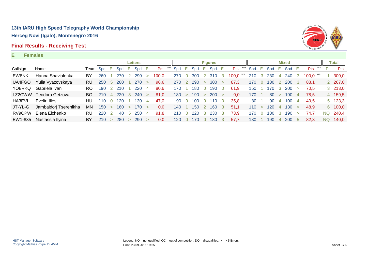### **Final Results - Receiving Test**



#### **E Females**

|          |                       |           |              |                |         |        | <b>Letters</b> |        |         |     |                |                 |                | <b>Figures</b> |        |                 |         |               |       |        | <b>Mixed</b>    |                         |               |     | Total          |
|----------|-----------------------|-----------|--------------|----------------|---------|--------|----------------|--------|---------|-----|----------------|-----------------|----------------|----------------|--------|-----------------|---------|---------------|-------|--------|-----------------|-------------------------|---------------|-----|----------------|
| Callsign | Name                  |           | Team Spd. E. |                | Spd. E. |        | Spd. E.        |        | Pts. WR |     |                | Spd. E. Spd. E. |                | Spd. E.        |        | Pts. WR         | Spd. E. |               |       |        | Spd. E. Spd. E. |                         | Pts. WR       | PI. | Pts.           |
| EW8NK    | Hanna Shavialenka     | BY        | 260          |                | 270     |        | 290            |        | 100.0   | 270 |                | 300             | <sup>2</sup>   | 310 3          |        | $100,0$ $^{WR}$ | 210     |               | 3 230 | 4      | 240             | $\overline{\mathbf{3}}$ | $100.0$ $W_R$ |     | 300,0          |
| UA4FGO   | Yulia Vyazovskaya     | <b>RU</b> | 250          | -5             | 260     |        | 270            | $\geq$ | 96.6    | 270 | $\sqrt{2}$     | 290             | $\geq$         | 300            | $\geq$ | 87.3            | 170     | $\Omega$      | 180   |        | <b>200</b>      |                         | 83.1          |     | 2 267,0        |
| YO8RKQ   | Gabriela Ivan         | RO.       | 190          | $\overline{2}$ | 210     |        | 220            | -4     | 80.6    | 170 |                | 180             | . O            | 190            | 0      | 61,9            | 150     |               | 170   |        | 3 200           |                         | 70.5          |     | $3\quad 213,0$ |
| LZ2CWW   | Teodora Getzova       | BG.       | 210          | $\overline{4}$ | 220     | -3     | 240            | $\geq$ | 81,0    | 180 | $\geq$         | 190             | $\geq$         | <b>200</b>     | $\geq$ | 0,0             | 170     |               | 80    | $\geq$ | 190             | $\overline{4}$          | 78.5          |     | 4 159,5        |
| HA3EVI   | Evelin Illés          | HU.       | 110          | $\Omega$       | 120     |        | 130            | 4      | 47.0    | 90  |                | 100             | $\overline{0}$ | 110            | 0      | 35.8            | 80      |               | 90    | 4      | 100             | 4                       | 40.5          |     | $5\quad 123.3$ |
| JT-YL-G  | Jambaldorj Tserenlkha | ΜN        | 150          | $\geq$         | 160     | $\geq$ | 170            | $\geq$ | 0.0     | 140 |                | 150             |                | 160            | 3      | 51.1            | 110     | $\rightarrow$ | 120   | 4      | 130             |                         | 48.9          |     | 6 100,0        |
| RV9CPW   | Elena Elchenko        | <b>RU</b> | 220          |                | 40      | -5     | 250            | 4      | 91.8    | 210 | $\overline{0}$ | 220             | 3              | 230            | 3      | 73,9            | 170     |               | 180   |        | 190             |                         | 74.7          |     | NQ 240,4       |
| EW1-835  | Nastassia Ilyina      | BY        | 210          |                | 280     | $\geq$ | 290            | $\geq$ | 0.0     | 120 |                | 170.            |                | 180            | -3     | 57.7            | 130     |               | 190   | 4      | 200             | $\mathbf b$             | 82.3          | NQ. | 140.0          |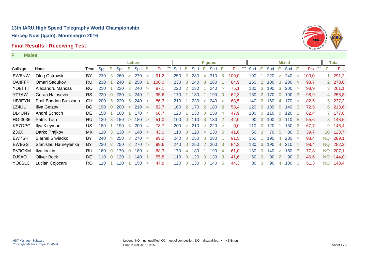# **Final Results - Receiving Test**





|          |                       |           |           |                |      |                | <b>Letters</b> |                |       |            |         |                |              |                | <b>Figures</b> |                |       |                  |                |      |                | Mixed      |        |         |           | Total     |
|----------|-----------------------|-----------|-----------|----------------|------|----------------|----------------|----------------|-------|------------|---------|----------------|--------------|----------------|----------------|----------------|-------|------------------|----------------|------|----------------|------------|--------|---------|-----------|-----------|
| Callsign | Name                  |           | Team Spd. | - E.           | Spd. | E.,            | Spd. E.        |                | Pts.  |            | Spd. E. |                | Spd.         | $E_{\rm{eff}}$ | Spd. E.        |                | Pts.  | Spd. E.          |                | Spd. | E.,            | Spd. E.    |        | Pts. WR | PI.       | Pts.      |
| EW8NW    | Oleg Ostrovski        | BY        | 230       | 3              | 260  | $\geq$         | 270            | $\geq$         | 91,2  | 250        |         | 2              | 280          | 4              | 310            | 5              | 100,0 | 190              |                | 220  | $\geq$         | 240        | $\geq$ | 100,0   |           | 1 291,2   |
| UA4FFP   | Omari Sadukov         | <b>RU</b> | 230       |                | 240  | 2              | 250            |                | 100,0 | <b>230</b> |         | 3              | 240          | 3              | 260            |                | 84,9  | 160              | 2              | 180  | 3              | <b>200</b> |        | 93,7    |           | 2 278,6   |
| YO8TTT   | Alexandru Mancas      | RO.       | 210       |                | 220  | $\mathbf{3}$   | 240            | $\geq$         | 87,1  | 220        |         | 2              | 230          |                | 240            | $\geq$         | 75,1  | 180              | 3              | 190  | 3              | 200        |        | 98,9    |           | 3, 261, 1 |
| YT7AW    | Goran Hajosevic       | <b>RS</b> | 220       | $\overline{0}$ | 230  | $\mathbf{3}$   | 240            | -2             | 95,6  | 170        |         |                | 180          |                | 190            | $\overline{0}$ | 62,3  | 160              | $\overline{2}$ | 170  | $\overline{0}$ | 190        | -3     | 98,9    |           | 4 256,8   |
| HB9EYN   | Emil-Bogdan Buzoianu  | CН        | 200       | -5             | 220  | -5             | 240            | $\geq$         | 86,3  | 210        |         |                | 230          | $\geq$         | 240            | $\geq$         | 68,5  | 140              | -2             | 160  | $\overline{4}$ | 170        | $\geq$ | 82,5    |           | 5 237,3   |
| LZ4UU    | Iliya Getzov          | BG.       | 190       | $\Omega$       | 200  | $\geq$         | 210            | $\overline{4}$ | 82,7  | 160        |         | 2              | 170          | <sup>2</sup>   | 180            | 2              | 58.4  | 120 <sub>1</sub> |                | 130  | $\overline{0}$ | 140        | -3     | 72,5    |           | 6 213,6   |
| DL4UNY   | André Schoch          | DE.       | 150       |                | 160  |                | 170            | 4              | 66,7  | 120        |         |                | $ 30\rangle$ | $\overline{0}$ | 150            | $\overline{4}$ | 47,9  | 100              |                | 10   | $\Omega$       | 120        |        | 62,4    |           | 7 177,0   |
| HG-3036  | Patrik Tóth           | HU        | 130       | $\mathbf{3}$   | 150  | $\rightarrow$  | 180            | $\geq$         | 51,0  | 100        |         | $\Omega$       | 110          | $\mathbf{3}$   | 130            | -2             | 42,0  | 90               | 3              | 100  | $\mathbf{3}$   | 110        | -5     | 55,6    |           | 8 148,6   |
| KE7OPG   | Ilya Kleyman          | US.       | 180       |                | 190  | -5             | 200            | -4             | 78,7  | 200        |         | $\geq$         | 210          | $\geq$         | 220            | $\geq$         | 0,0   | 110              |                | 120  |                | 130        | -2     | 67,7    |           | 9 146,4   |
| Z30X     | Darko Trajkov         | MK.       | 110       | $\mathbf{3}$   | 130  | $\geq$         | 140            | $\rightarrow$  | 43,0  | 110        |         | $\overline{0}$ | 120          | $\geq$         | 130            | -5             | 41,0  | 50               | 3              | 70   | -5             | 80         | -5     | 39,7    |           | 10 123,7  |
| EW7SH    | Siarhei Shviadko      | BY        | 240       | $\geq$         | 250  | $\mathbf{3}$   | 270            | $\geq$         | 99,2  | 240        |         | $\Omega$       | 250          | 3              | 280            |                | 91.5  | 160              |                | 190  | 4              | 230        | $\geq$ | 98,4    | NQ.       | 289,1     |
| EW8GS    | Stanislau Haureylenka | BY        | 220       | 2              | 250  | $\overline{2}$ | 270            | $\geq$         | 99,6  | 240        |         | $\Omega$       | 250          | <sup>2</sup>   | 260            | 3              | 84,3  | 180              | 3              | 190  | $\overline{4}$ | 210        | $\geq$ | 98,4    | NQ.       | 282,3     |
| RV9CKM   | Ilya Ionkin           | <b>RU</b> | 160       | $\Omega$       | 170  | $\Omega$       | 180            | $\geq$         | 68,3  | 170        |         | 4              | 180          |                | 190            | 4              | 61,0  | 130              |                | 140  | $\geq$         | 150        | 3      | 77,8    | <b>NQ</b> | 207,1     |
| DJ9AO    | Oliver Bock           | DE.       | 110       | $\Omega$       | 120  | 2              | 140            |                | 55,8  | 110        |         | $\overline{0}$ | 120          | $\Omega$       | 130            | 3              | 41,6  | 60               |                | 80   | $\overline{2}$ | 90         |        | 46,6    | <b>NQ</b> | 144,0     |
| YO8SLC   | Lucian Cojocaru       | RO        | 110       |                | 120  |                | 150            | $\geq$         | 47,8  | 120        |         | $\overline{0}$ | 130          | $\overline{0}$ | 140            | 5              | 44,3  | 80               | 3              | 90   | 4              | 100        | 3      | 51,3    | NQ        | 143,4     |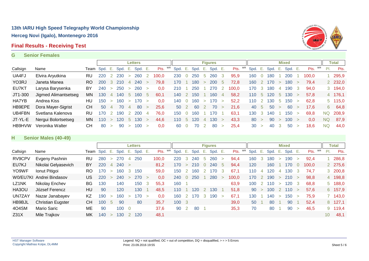### **Final Results - Receiving Test**



#### **G Senior Females**

|          |                      |              |            |        |      |                | Letters |        |            |         |                |      |              | <b>Figures</b> |             |            |      |      |      |             | <b>Mixed</b> |        |       |    |     | Total          |
|----------|----------------------|--------------|------------|--------|------|----------------|---------|--------|------------|---------|----------------|------|--------------|----------------|-------------|------------|------|------|------|-------------|--------------|--------|-------|----|-----|----------------|
| Callsign | Name                 | Team Spd. E. |            |        | Spd. | - E.           | Spd. E. |        | WR<br>Pts. | Spd. E. |                | Spd. | $-E_{\rm s}$ | Spd. E.        |             | WR<br>Pts. | Spd. | - E. | Spd. | Е.          | Spd. E.      |        | Pts.  | WR | PI. | Pts.           |
| UA4FJ    | Elvira Aryutkina     | RU           | 220        |        | 230  | $\geq$         | 260     |        | 100.0      | 230     |                | 250  | 5            | 260            | 3           | 95.9       | 160  |      | 180  |             | 200          |        | 100.0 |    |     | 295,9          |
| YO3RJ    | Janeta Manea         | RO.          | <b>200</b> | -3     | 210  | 4              | 240     | $\geq$ | 79.8       | 170     |                | 180  | $\geq$       | 200            | $\mathbf b$ | 72.8       | 160  |      | 170  |             | 180          |        | 79.4  |    |     | 2 232,0        |
| EU7KT    | Larysa Barysenka     | BY           | 240        | $\geq$ | 250  | $\geq$         | 260     | $\geq$ | 0.0        | 210     |                | 250  |              | 270            | -2          | 100.0      | 170  | -3   | 180  | 4           | 190          |        | 94.0  |    |     | 3 194,0        |
| JT1-300  | Jigmed Alimantsetseg | MN.          | 130        | 4      | 140  | 5              | 160     | -5     | 60,1       | 140     |                | 150  |              | 160            | 4           | 58,2       | 110  | -5   | 120  | $\mathbf b$ | 130          |        | 57.8  |    |     | 4 176,1        |
| HA7YB    | Andrea Kiss          | HU           | 150        | $\geq$ | 160  | $\geq$         | 170     | $\geq$ | 0.0        | 140     | $\overline{0}$ | 160  | $\geq$       | 170            | $\geq$      | 52.2       | 110  |      | 130  | $\mathbf b$ | 150          |        | 62.8  |    |     | $5\quad 115,0$ |
| HB9EPE   | Dora Mayer-Sigrist   | CH.          | 50         | 4      | 70   | $\overline{4}$ | -80     | $\geq$ | 25.6       | 50      | $\mathcal{L}$  | 60   | 2            | 70             | $\geq$      | 21.6       | 40 5 |      | 50   |             | 60           |        | 17.6  |    | 6   | 64,8           |
| UB4FBN   | Svetlana Kalenova    | <b>RU</b>    | 170        |        | 190  | 2              | 200     | 4      | 76.0       | 150     |                | 160  |              | 170.           |             | 63,1       | 130  | 3    | 14C  |             | 150          |        | 69,8  |    | NQ  | 208,9          |
| JT-YL-E  | Nergui Bolortsetseg  | MN.          | 110        | $\geq$ | 120  | $5^{\circ}$    | 130     | $\geq$ | 44,6       | 110     | $\mathbf b$    | 120  | 4            | 30             | $\geq$      | 43.3       | 80   |      | 90   |             | 100          | $\geq$ | 0.0   |    | NQ  | 87,9           |
| HB9HVW   | Veronika Walter      | CН           | -80        | $\geq$ | -90  | $\geq$         | 100     | $\geq$ | 0.0        | 60      | $\overline{0}$ | 70   | 2            | 80             | $\geq$      | 25.4       | 30   |      | 40   |             | 50           |        | 18.6  |    | ΝQ  | 44,0           |

### **H Senior Males (40-49)**

|                  |                          |     |              |                |      |        | <b>Letters</b> |        |            |       |                |         |                | <b>Figures</b> |        |            |      |              |      |              | <b>Mixed</b> |               |       |    |                 | Total      |
|------------------|--------------------------|-----|--------------|----------------|------|--------|----------------|--------|------------|-------|----------------|---------|----------------|----------------|--------|------------|------|--------------|------|--------------|--------------|---------------|-------|----|-----------------|------------|
| Callsign         | Name                     |     | Team Spd. E. |                | Spd. | Ε.     | Spd. E.        |        | WR<br>Pts. | Spd.  | - E.           | Spd. E. |                | Spd. E.        |        | WR<br>Pts. | Spd. | - E.         | Spd. | Έ.           | Spd. E.      |               | Pts.  | WR | PI.             | Pts.       |
| RV9CPV           | Evgeny Pashnin           | RU. | 280          | $\geq$         | 270  | 4      | 250            |        | 100,0      | 220   | 3              | 240     | $\circ$        | 260            | $\geq$ | 94,4       | 160  |              | 180  | $\geq$       | 190          | $\geq$        | 92,4  |    |                 | 286,8      |
| EU7KJ            | Nikolai Gelyasevich      | BY  | 220          | $\overline{4}$ | 240  | $\geq$ |                |        | 81,2       | 170   | $\geq$         | 210     | $\overline{0}$ | 240            | 5      | 94,4       | 120  |              | 160  |              | 170          |               | 100,0 |    |                 | 2 275,6    |
| YO9WF            | Ionut Pitigoi            | RO. | 170          | $\geq$         | 160  | - 3    | 150            |        | 59,0       | 150   |                | 160     |                | 70             | 3      | 67,1       | 110  | 4            | 120  | 4            | 130          |               | 74.7  |    |                 | $3\,200,8$ |
|                  | W0/EU7KI Andrei Bindasov | US. | 220          | $\geq$         | 240  | $\geq$ | 270            | $\geq$ | 0.0        | 240   | $\overline{0}$ | 250     |                | 280            | $\geq$ | 100.0      | 170  | -2           | 190  | $\geq$       | 210          | $\rightarrow$ | 98,8  |    |                 | 4 198,8    |
| LZ1NK            | Nikolay Enchev           | BG. | 130          |                | 140  |        | 150            | 3      | 55,3       | 160   |                |         |                |                |        | 63,9       | 100  | <sup>2</sup> | 110  | $\geq$       | 120          |               | 68.8  |    |                 | 5 188,0    |
| HA3OU            | József Ferencz           | HU. | 90           |                | 120  |        | 130            |        | 48,5       | 110   |                | 120     |                | 30             |        | 51,8       | 90   | $\geq$       | 100  | <sup>2</sup> | 110          |               | 57,6  |    |                 | 6 157,9    |
| UN7ZAY           | Nazar Janabayev          | KZ  | 190          | $\geq$         | 160  | $\geq$ | 170            | $\geq$ | 0.0        | 160   | 2              | 170     | 3              | 190            | $\geq$ | 67.1       | 130  |              | 140  | $\geq$       | 150          |               | 75,9  |    |                 | 7 143,0    |
| HB9BJL           | <b>Christian Eugster</b> | CH. | 100          | 5              | 90   |        | 80             |        | 35,7       | 100 3 |                |         |                |                |        | 39,0       | 50   |              | 80   |              | 90           |               | 52,4  |    |                 | 8 127,1    |
| 4O4SM            | <b>Mario Saric</b>       | ME  | 90           |                | 100  | - 0    |                |        | 37,6       | 90    | 2              | 80      |                |                |        | 35,3       | 70   |              | 80   |              | 90           | $\geq$        | 46,5  |    |                 | 9 119,4    |
| Z <sub>31X</sub> | Mile Trajkov             | MK. | 140          | $\geq$         | 130  |        | 120            |        | 48,1       |       |                |         |                |                |        |            |      |              |      |              |              |               |       |    | 10 <sup>°</sup> | 48,1       |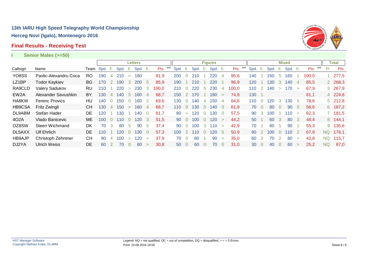# **Final Results - Receiving Test**



| Senior Males (>=50) |  |  |
|---------------------|--|--|
|---------------------|--|--|

**I Senior Males (>=50)**

|                   |                       |           |      |                       |      |                | <b>Letters</b> |                |            |      |                |      |                | <b>Figures</b> |          |       |      |              |      |        | <b>Mixed</b>    |                |       |    |     | <b>Total</b> |  |
|-------------------|-----------------------|-----------|------|-----------------------|------|----------------|----------------|----------------|------------|------|----------------|------|----------------|----------------|----------|-------|------|--------------|------|--------|-----------------|----------------|-------|----|-----|--------------|--|
| Callsign          | Name                  | Team      | Spd. | Е.                    | Spd. | Ε.             | Spd. E.        |                | WR<br>Pts. | Spd. | Е.             | Spd. | Е.             | Spd. E.        |          | Pts.  | Spd. | Ε.           | Spd. | Е.     | Spd. E.         |                | Pts.  | WR | PI. | Pts.         |  |
| YO8SS             | Pavlic-Alexandru Coca | RO        | 190  | 4                     | 210  | $\geq$         | 180            |                | 81,9       | 200  | $\overline{0}$ | 210  |                | 220            | 4        | 95,6  | 140  |              | 150  | 5      | 160             |                | 100,0 |    |     | 1277,5       |  |
| LZ1BP             | <b>Todor Kaykiev</b>  | BG.       | 170  | $\mathbf{2}^{\prime}$ | 190  | 3              | 200            | -5             | 85.9       | 190  |                | 210  |                | 220            |          | 96.9  | 120  |              | 130  | 3      | 140             | $\overline{4}$ | 85,5  |    |     | 2 268,3      |  |
| RA9CLD            | Valery Sadukov        | RU        | 210  |                       | 220  | $\geq$         | 230            | 3              | 100,0      | 210  | $\overline{0}$ | 220  | 5              | 230            | 4        | 100,0 | 110  |              | 140  | $\geq$ | 170             | $\geq$         | 67,9  |    |     | 3 267,9      |  |
| EW <sub>2</sub> A | Alexander Savushkin   | BY        | 130  | 4                     | 140  | 5              | 160            | 4              | 68,7       | 150  |                | 170  |                | 180            | $\geq$   | 74,8  | 130  |              |      |        |                 |                | 81,1  |    |     | 4 224,6      |  |
| HA8KW             | <b>Ferenc Provics</b> | HU        | 140  | $\Omega$              | 150  | $\Omega$       | 160            | 2              | 69,6       | 130  | $\Omega$       | 140  | 4              | 150            | 4        | 64,6  | 110  | <sup>0</sup> | 120  | 3      | 30 <sup>°</sup> | -5             | 78,6  |    |     | 5 212,8      |  |
| HB9CSA            | Fritz Zwingli         | CН        | 130  | 4                     | 150  | $\geq$         | 160            | $\overline{4}$ | 68,7       | 110  | $\Omega$       | 130  | $\Omega$       | 140            | $\Omega$ | 61,9  | 70   | $\Omega$     | 80   |        | 90              | $\Omega$       | 56,6  |    |     | 6 187,2      |  |
| DL9ABM            | Stefan Hader          | <b>DE</b> | 120  |                       | 130  |                | 140            | $\Omega$       | 61.7       | 80   | $\geq$         | 120  | $\Omega$       | 130            | $\Omega$ | 57,5  | 90   | -3           | 100  |        | 10              | $\geq$         | 62,3  |    |     | 7 181,5      |  |
| 402A              | Vlado Banicevic       | ME.       | 100  | $\Omega$              | 110  | U              | 120            | 3              | 51,5       | 90   | $\overline{0}$ | 100  | $\overline{0}$ | 120            | $\geq$   | 44,2  | 50   |              | 60   | 3      | 80              | 3              | 48,4  |    |     | 8 144,1      |  |
| OZ8SW             | Steen Wichmand        | DK        | 70   | 3                     | 80   | 5              | 90             | 5              | 37.4       | 90   | $\Omega$       | 100  | 3              | 110            | $\geq$   | 42,9  | 70   |              | 80   |        | 90              |                | 55,3  |    |     | 9 135,6      |  |
| DL5AXX            | <b>Ulf Ehrlich</b>    | DE        | 110  |                       | 120  | U              | 130            | 0              | 57,3       | 100  |                | 110  | $\Omega$       | 120            | 5        | 50,9  | 90   |              | 100  |        | 10              |                | 67,9  |    | NQ. | 176,1        |  |
| <b>HB9AJP</b>     | Christoph Zehntner    | <b>CH</b> | 90   | 4                     | 100  | $\geq$         | 120            | $\geq$         | 37,9       | 70   | $\overline{0}$ | 80   |                | 90             | $\geq$   | 35,0  | 60   |              | 70   |        | 80              |                | 42,8  |    | NQ. | 115,7        |  |
| DJ2YA             | <b>Ulrich Weiss</b>   | DE.       | 60   | $\mathcal{P}$         | 70   | $\overline{0}$ | 80             | $\geq$         | 30,8       | 50   | $\overline{0}$ | 60   | Ω              | 70             | $\Omega$ | 31,0  | 30   | $\Omega$     | 40   |        | 60              | $\geq$         | 25,2  |    | NQ. | 87,0         |  |
|                   |                       |           |      |                       |      |                |                |                |            |      |                |      |                |                |          |       |      |              |      |        |                 |                |       |    |     |              |  |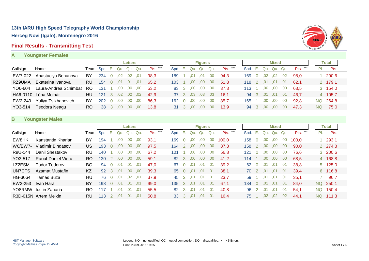### **Final Results - Transmitting Test**

### **A Youngster Females**



|          |                       |     |                                |        |                  | Letters |         |         |                           |          | <b>Figures</b> |     |         |                           |      |     | <b>Mixed</b>     |      |         |     | <b>Total</b> |  |
|----------|-----------------------|-----|--------------------------------|--------|------------------|---------|---------|---------|---------------------------|----------|----------------|-----|---------|---------------------------|------|-----|------------------|------|---------|-----|--------------|--|
| Callsign | Name                  |     | Team Spd. E. - Qu. - Qu. - Qu. |        |                  |         |         | Pts. WR | Spd. E. - Qu. - Qu. - Qu. |          |                |     | Pts. WR | Spd. E. - Qu. - Qu. - Qu. |      |     |                  |      | Pts. WR | PI. | Pts.         |  |
| EW7-022  | Anastaciya Behunova   | BY  | 234                            |        | .02              | .02     | .01     | 98.3    | 189                       | .01      | .01            | .00 | 94.3    | 169.                      |      | .02 | .02              | .02  | 98.0    |     | 290,6        |  |
| RZ9UMA   | Ekaterina Ivanova     | RU. | 154                            | $\cup$ | .01              | .01     | .01     | 65.2    | 103 <sub>1</sub>          | .00      | .00.           | .00 | 51.8    | 118 2                     |      | .01 | .01              | .01  | 62.1    |     | 2 179,1      |  |
| YO6-604  | Laura-Andrea Schimbat | RO  | 131                            |        | .00              | .00     | .00.    | 53.2    | 83 3                      | .00.     | .00            | .00 | 37.3    |                           |      | .00 | .00              | .00. | 63.5    |     | 3, 154, 0    |  |
| HA6-0110 | Léna Molnár           | HU  | 121                            | -3     | .02 <sub>1</sub> | 0.02    | $.02\,$ | 42.9    |                           | 37 3 ,03 | $.03\,$        | ,03 | 16.1    | 94                        | $-3$ | .01 | ,01              | .01  | 46.7    |     | 4 105,7      |  |
| EW2-249  | Yuliya Tsikhanovich   | BY  | 202                            |        | .00              | .00.    | .00     | 86.3    | 162                       | .00      | .00            | .00 | 85.7    | 165                       |      | .00 | 00,              | .00  | 92.8    | NQ. | 264,8        |  |
| YO3-514  | Teodora Neagu         | RO  | -38                            | -3     | .00              | .00.    | ,00     | 13.8    | 31 3                      | .00.     | .00.           | ,00 | 13.9    | 94                        |      | .00 | .00 <sub>1</sub> | .00. | 47.3    | NQ. | 75,0         |  |
|          |                       |     |                                |        |                  |         |         |         |                           |          |                |     |         |                           |      |     |                  |      |         |     |              |  |

### **B Youngster Males**

|          |                       |           |           |               |                   | <b>Letters</b> |      |         |      |     |                   | <b>Figures</b>   |     |         |                        |          |                  | <b>Mixed</b>     |     |               |     | Total    |
|----------|-----------------------|-----------|-----------|---------------|-------------------|----------------|------|---------|------|-----|-------------------|------------------|-----|---------|------------------------|----------|------------------|------------------|-----|---------------|-----|----------|
| Callsign | Name                  |           | Team Spd. |               | E. -Qu. -Qu. -Qu. |                |      | Pts. WR | Spd. |     | E. -Qu. -Qu. -Qu. |                  |     | Pts. WR | Spd. E. -Qu. -Qu. -Qu. |          |                  |                  |     | $P$ ts. $W$ R | PI. | Pts.     |
| EW8HK    | Kanstantin Kharlan    | BY        | 194       |               | .00               | .00.           | ,00  | 93.1    | 169  |     | .00               | ,00              | ,00 | 100.0   | 158                    |          | .00              | .00              | .00 | 100.0         |     | 293,1    |
| W0/EW7-  | Vladimir Bindasov     | US        | 193       |               | .00               | .00.           | ,00  | 97,5    | 164  |     | .00               | .00.             | ,00 | 87,3    | 158                    |          | .00              | .00.             | ,00 | 90.0          |     | 2 274,8  |
| R9U-144  | Danil Shestakov       | RU        | 140       |               | .00               | .00            | .00  | 67.2    | 101  |     | .00               | .00              | ,00 | 56,8    | 121                    |          | .00              | .00              | .00 | 76.6          |     | 3 200,6  |
| YO3-517  | Raoul-Daniel Vieru    | RO.       | 130       | -2            | .00               | .00.           | .00. | 59,1    | 82   | -3  | .00.              | .00 <sub>1</sub> | ,00 | 41.2    | 114                    |          | .00              | .00.             | .00 | 68,5          |     | 4 168,8  |
| LZ2ESM   | Todor Todorov         | <b>BG</b> | 94        |               | .01               | .01            | .01  | 47.0    | 67   |     | .01               | .01              | ,01 | 39,2    | 62                     | $\Omega$ | .01              | .01              | .01 | 38,8          |     | 5 125,0  |
| UN7CFS   | Azamat Mustafin       | KZ        | 92        | 3             | .01               | .00.           | .00. | 39.3    | 65   |     | .01               | .01              | ,01 | 38.1    | 70.                    | 2        | .01              | ,01              | .01 | 39.4          |     | 6 116,8  |
| HG-3064  | Tamás Buza            | HU        | 76        |               | .01               | .02            | .01  | 37,9    | 45   |     | .01               | .01              | ,01 | 23.7    | 59                     |          | .01              | .01              | .01 | 35,1          |     | 96,7     |
| EW2-253  | Ivan Hara             | BY        | 198       | $\Omega$      | .01               | .01            | .01  | 99.0    | 135  | -3  | .01               | .01              | .01 | 67.1    | 134                    | - 0      | .01              | .01              | .01 | 84.0          | NQ. | 250,1    |
| YO8RMW   | Iustin Zaharia        | RO.       | 117       |               | .01               | .01            | .01  | 55,5    | 82   | -3. | .01               | .01              | .01 | 40,8    | 96                     | -2       | .01              | .01              | .01 | 54,1          | NQ. | 150,4    |
|          | R3D-015N Artem Melkin | <b>RU</b> | 113       | $\mathcal{P}$ | .01               | .01            | .01  | 50.8    | 33   | -3  | .01               | .01              | ,01 | 16.4    | 75.                    |          | .02 <sub>1</sub> | .02 <sub>1</sub> | ,02 | 44.1          |     | NQ 111.3 |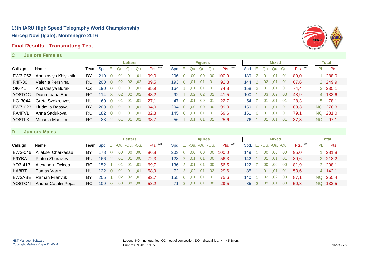### **Final Results - Transmitting Test**



#### **C Juniors Females**

|          |                      |     |                             |          |     | <b>Letters</b> |     |         |                        |               |     | <b>Figures</b>   |      |         |                           |                  |                  | <b>Mixed</b> |     |         |                 | Total          |  |
|----------|----------------------|-----|-----------------------------|----------|-----|----------------|-----|---------|------------------------|---------------|-----|------------------|------|---------|---------------------------|------------------|------------------|--------------|-----|---------|-----------------|----------------|--|
| Callsign | Name                 |     | Team Spd. E. -Qu. -Qu. -Qu. |          |     |                |     | Pts. WR | Spd. E. -Qu. -Qu. -Qu. |               |     |                  |      | Pts. WR | Spd. E. - Qu. - Qu. - Qu. |                  |                  |              |     | Pts. WR | $\mathsf{PI}$ . | Pts.           |  |
| EW3-052  | Anastasiya Khlystsik | BY  | 219                         | $\Omega$ | .01 | .01            | .01 | 99.0    | 206                    |               | .00 | .00              | .00. | 100.0   | 189                       | $\overline{2}$   | .01              | .01          | .01 | 89.0    |                 | 288,0          |  |
| R4F-30   | Valeriia Pershina    | RU. | <b>200</b>                  | $\Omega$ | .02 | .02            | .02 | 89,5    | 193                    |               | .01 | .01              | .01  | 92,8    | 144                       | $\overline{2}$   | .02 <sub>0</sub> | .01          | .01 | 67.6    |                 | 2 249,9        |  |
| OK-YL    | Anastasiya Burak     | CZ  | 190                         | $\Omega$ | .01 | .01            | .01 | 85.9    | 164                    |               |     | .01              | .01  | 74.8    | 158                       |                  | .01              | .01          | .01 | 74.4    |                 | $3\quad 235,1$ |  |
| YO8TOC   | Diana-Ioana Ene      | RO. | 114                         | 3        | .02 | .02            | .02 | 43.2    | 92                     |               | .02 | .02 <sub>1</sub> | .02  | 41.5    | 100                       |                  | .03              | .02          | .03 | 48.9    |                 | 4 133,6        |  |
| HG-3044  | Gréta Szekrenyesi    | HU. | 60                          | $\Omega$ | .01 | .01            | .01 | 27.1    | 47                     |               | .01 | .00.             | .01  | 22.7    | 54                        | $\left( \right)$ | .01              | .01          | .01 | 28.3    | 5               | 78,1           |  |
| EW7-023  | Liudmila Basava      | BY  | 208                         | $\Omega$ | .01 | .01            | .01 | 94.0    | 204                    |               | .00 | .00.             | .00  | 99.0    | 159                       | $\Omega$         | .01              | .01          | .01 | 83.3    | NQ.             | 276,3          |  |
| RA4FVL   | Anna Sadukova        | RU. | 182                         | $\Omega$ | .01 | .01            | .01 | 82.3    | 145                    | <sup>()</sup> | .01 | .01              | ,01  | 69.6    | 151                       | 0                | .01              | .01          | .01 | 79,1    | NQ.             | 231,0          |  |
| YO8TLK   | Mihaela Macsim       | RO. | 83                          |          | .01 | .01            | .01 | 33.7    | 56                     |               | .01 | .01              | .01  | 25.6    | 76                        |                  | .01              | .01          | .01 | 37.8    | NQ              | 97,1           |  |

#### **D Juniors Males**

|          |                         |           |                             |          |                  | <b>Letters</b> |      |         |                           |            |     | <b>Figures</b> |     |      |         |                        |          |     | Mixed   |     |               |     | Total    |
|----------|-------------------------|-----------|-----------------------------|----------|------------------|----------------|------|---------|---------------------------|------------|-----|----------------|-----|------|---------|------------------------|----------|-----|---------|-----|---------------|-----|----------|
| Callsign | Name                    |           | Team Spd. E. -Qu. -Qu. -Qu. |          |                  |                |      | Pts. WR | Spd. E. - Qu. - Qu. - Qu. |            |     |                |     |      | Pts. WR | Spd. E. -Qu. -Qu. -Qu. |          |     |         |     | $P$ ts. $W$ R | PI. | Pts.     |
| EW3-046  | Aliaksei Charkasau      | BY        | 178                         |          | .00              | ,00            | .00. | 86.8    | 203 0                     |            | .00 |                | ,00 | ,00  | 100.0   | 149                    |          | .00 | ,00     | .00 | 95.0          |     | 281,8    |
| R9YBA    | <b>Platon Zhuravlev</b> | <b>RU</b> | 166                         |          | .01              | .01            | .00. | 72.3    | 128                       |            | .01 | .01            |     | .00. | 56.3    | 142                    |          | .01 | .01     | .01 | 89.6          |     | 2 218,2  |
| YO3-413  | Alexandru Delcea        | RO.       | 152                         |          | ,01              | .01            | .01  | 69.7    | 136 3                     |            | .01 | ,01            |     | ,00  | 56.5    | 122                    | $\Omega$ | ,00 | ,00     | ,00 | 81.9          |     | 3 208,1  |
| HA8RT    | Tamás Varró             | HU        | 122                         | $\Omega$ | .01              | .01            | .01  | 58.9    | 72 3 ,02                  |            |     | ,01            |     | .02  | 29.6    | 85                     |          | .01 | ,01     | .01 | 53.6          |     | 4 142,1  |
| EW3ABE   | Raman Filanyuk          | BY        | 205                         |          | .02 <sub>0</sub> | .02            | .03  | 92.7    | 155.                      | $\bigcirc$ | .01 | .01            |     | .01  | 75.6    | 140                    |          | .02 | 0.02    | .03 | 87,1          |     | NQ 255,4 |
| YO8TON   | Andrei-Catalin Popa     | RO.       | 109                         |          | .00.             | .00.           | .00  | 53.2    | 71 3                      |            | .01 | .01            |     | .00  | 29.5    | 85 2                   |          |     | .02 ,01 | .00 | 50.8          |     | NQ 133,5 |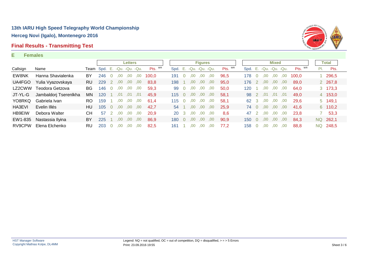### **Final Results - Transmitting Test**



#### **E Females**

|          |                       |     |                                    |          |     | <b>Letters</b> |     |         |      |               |      | <b>Figures</b>    |      |         |                           |               |      | <b>Mixed</b> |     |         |     | Total   |
|----------|-----------------------|-----|------------------------------------|----------|-----|----------------|-----|---------|------|---------------|------|-------------------|------|---------|---------------------------|---------------|------|--------------|-----|---------|-----|---------|
| Callsign | Name                  |     | <b>Team</b> Spd. E. -Qu. -Qu. -Qu. |          |     |                |     | Pts. WR | Spd. |               |      | E. -Qu. -Qu. -Qu. |      | Pts. WR | Spd. E. - Qu. - Qu. - Qu. |               |      |              |     | Pts. WR | PI. | Pts.    |
| EW8NK    | Hanna Shavialenka     | BY  | 246                                | $\cup$   | .00 | .00            | .00 | 100.0   | 191  |               | .00  | .00               | .00  | 96.5    | 178                       |               | .00  | .00          | .00 | 100.0   |     | 1 296,5 |
| UA4FGO   | Yulia Vyazovskaya     | RU. | 229                                | 2        | .00 | .00.           | .00 | 83,8    | 198  |               | .00. | .00               | .00  | 95,0    | 176                       | $\setminus$ 2 | .00  | ,00          | .00 | 89.0    |     | 2 267,8 |
| LZ2CWW   | Teodora Getzova       | BG. | 146                                |          | .00 | .00            | .00 | 59,3    | 99   | 0             | .00. | .00               | .00  | 50,0    | 120                       |               | .00  | .00          | .00 | 64.0    |     | 3 173,3 |
| JT-YL-G  | Jambaldorj Tserenlkha | ΜN  | 120                                |          | 01  | .01            | .01 | 45.9    | 115  |               | .00  | .00               | .00. | 58,1    | 98 2                      |               | .01  | .01          | .01 | 49.0    |     | 4 153,0 |
| YO8RKQ   | Gabriela Ivan         | RO. | 159                                |          | .00 | .00.           | .00 | 61.4    | 115  | <sup>()</sup> | .00  | .00               | .00  | 58.1    | 62 3                      |               | .00  | .00          | .00 | 29.6    |     | 5 149,1 |
| HA3EVI   | Evelin Illés          | HU. | 105                                | $\Omega$ | .00 | .00            | .00 | 42.7    | 54   |               | .00  | .00               | .00  | 25.9    | 74 0                      |               | .00. | .00.         | .00 | 41.6    |     | 6 110,2 |
| HB9EIW   | Debora Walter         | CН  | 57                                 |          | .00 | .00            | .00 | 20.9    | 20   |               | .00  | .00               | .00  | 8.6     | 47                        |               | .00  | .00          | .00 | 23.8    |     | 53,3    |
| EW1-835  | Nastassia Ilyina      | BY  | 225                                |          | .00 | .00            | .00 | 86.9    | 180  | 0             | .00  | .00               | .00  | 90,9    | 150                       | - 0           | .00  | .00          | .00 | 84.3    | NQ. | 262,1   |
| RV9CPW   | Elena Elchenko        | RU  | 203                                | $\Omega$ | .00 | .00.           | .00 | 82.5    | 161  |               | .00  | .00.              | .00  | 77.2    | 158                       | $\Omega$      | .00  | .00          | .00 | 88.8    | NQ. | 248,5   |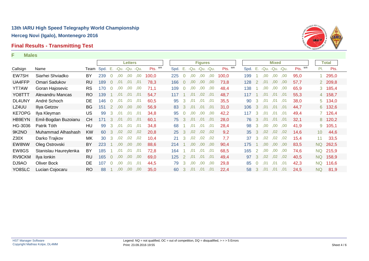### **Final Results - Transmitting Test**



#### **F Males**

|               |                       |           |      |                      |                   | <b>Letters</b> |     |         |      |                |                  | <b>Figures</b>   |      |         |                           |                |      | <b>Mixed</b> |     |         |                 | <b>Total</b> |
|---------------|-----------------------|-----------|------|----------------------|-------------------|----------------|-----|---------|------|----------------|------------------|------------------|------|---------|---------------------------|----------------|------|--------------|-----|---------|-----------------|--------------|
| Callsign      | Name                  | Team      | Spd. |                      | E. -Qu. -Qu. -Qu. |                |     | Pts. WR | Spd. | E.             |                  | -Qu. -Qu. -Qu.   |      | Pts. WR | Spd. E. - Qu. - Qu. - Qu. |                |      |              |     | Pts. WR | $\mathsf{PI}$ . | Pts.         |
| EW7SH         | Siarhei Shviadko      | BY        | 239  | $\overline{0}$       | .00.              | .00.           | ,00 | 100,0   | 225  | $\Omega$       | 00,              | .00              | .00. | 100,0   | 199                       |                | .00. | ,00          | ,00 | 95,0    |                 | 295,0        |
| UA4FFP        | Omari Sadukov         | RU        | 189  | $\Omega$             | .01               | .01            | .01 | 78.3    | 166  | $\overline{0}$ | .00              | .00.             | .00  | 73.8    | 128                       | $\overline{2}$ | .01  | .00.         | ,00 | 57,7    |                 | 2 209,8      |
| <b>YT7AW</b>  | Goran Hajosevic       | <b>RS</b> | 170  |                      | .00.              | .00            | .00 | 71,1    | 109  | $\Omega$       | .00              | .00.             | .00  | 48,4    | 138                       |                | .00. | .00.         | .00 | 65,9    |                 | 3 185,4      |
| YO8TTT        | Alexandru Mancas      | RO.       | 139  |                      | .01               | .01            | .01 | 54,7    | 117  |                | .01              | .02 <sub>0</sub> | .01  | 48,7    | 117                       |                | .01  | .01          | .01 | 55,3    |                 | 4 158,7      |
| DL4UNY        | André Schoch          | DE.       | 146  | $\Omega$             | .01               | .01            | .01 | 60,5    | 95   | 3              | .01              | .01              | .01  | 35,5    | 90                        | 3              | .01  | .01          | .01 | 38,0    |                 | 5 134,0      |
| LZ4UU         | Iliya Getzov          | <b>BG</b> | 151  | $\mathbf{2}^{\circ}$ | .00 <sub>1</sub>  | .00.           | ,00 | 56,9    | 83   | -3             | .01              | .01              | .01  | 31,0    | 106                       | $\mathbf{3}$   | .01  | .01          | ,01 | 44,7    |                 | 6 132,6      |
| <b>KE7OPG</b> | Ilya Kleyman          | US        | 99   | 3                    | .01               | .01            | ,01 | 34,8    | 95   | $\overline{0}$ | .00.             | .00              | .00  | 42,2    | 117                       | $\mathbf{3}$   | .01  | .01          | ,01 | 49,4    |                 | 7 126,4      |
| HB9EYN        | Emil-Bogdan Buzoianu  | <b>CH</b> | 171  | 3                    | .01               | .01            | ,01 | 60,1    | 75   | 3              | .01              | .01              | .01  | 28,0    | 76                        | 3              | .01  | .01          | ,01 | 32,1    |                 | 8 120,2      |
| HG-3036       | Patrik Tóth           | HU        | 99   | 3                    | .01               | .01            | .01 | 34,8    | 68   |                | .01              | .01              | .01  | 28,4    | 98                        | 3              | .00  | 00.          | ,00 | 41,9    | 9               | 105,1        |
| 9K2NO         | Muhammad Alhashash    | KW.       | 60   | 3                    | .02               | .02            | .02 | 20.8    | 25   | 3              | .02 <sub>0</sub> | .02 <sub>1</sub> | 0.02 | 9,2     | 35 <sup>°</sup>           | 3              | .02  | .02          | .02 | 14.6    | 10 <sup>°</sup> | 44,6         |
| Z30X          | Darko Trajkov         | МK        | 30   | 3                    | .02               | .02            | .02 | 10.4    | 21   | 3              | .02 <sub>1</sub> | .02 <sub>1</sub> | .02  | 7,7     | 37                        | 3              | .02  | .02          | .02 | 15,4    | 11              | 33,5         |
| EW8NW         | Oleg Ostrovski        | BY        | 223  |                      | .00               | .00.           | .00 | 88.6    | 214  |                | .00.             | 00.              | .00  | 90,4    | 175                       |                | .00  | .00.         | .00 | 83,5    | <b>NQ</b>       | 262,5        |
| EW8GS         | Stanislau Haureylenka | BY        | 185  |                      | .01               | .01            | .01 | 72,8    | 164  |                | .01              | .01              | ,01  | 68,5    | 165                       | 2              | .00  | .00.         | .00 | 74,6    | <b>NQ</b>       | 215,9        |
| RV9CKM        | Ilya Ionkin           | <b>RU</b> | 165  | $\Omega$             | .00.              | .00.           | .00 | 69,0    | 125  | 2              | .01              | .01              | .01  | 49,4    | 97                        | 3              | .02  | .02          | .02 | 40,5    | <b>NQ</b>       | 158,9        |
| DJ9AO         | <b>Oliver Bock</b>    | DE        | 107  | $\overline{0}$       | .00               | .01            | ,01 | 44,5    | 79   | 3              | .00              | .00              | ,00  | 29,8    | 85                        | $\overline{0}$ | .01  | .01          | ,01 | 42,3    | <b>NQ</b>       | 116,6        |
| YO8SLC        | Lucian Cojocaru       | RO.       | 88   |                      | 00,               | .00.           | .00 | 35,0    | 60   | 3              | .01              | .01              | .01  | 22,4    | 58                        | 3              | .01  | .01          | .01 | 24,5    | <b>NQ</b>       | 81,9         |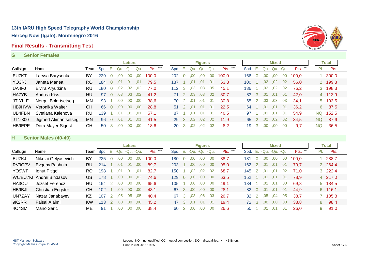### **Final Results - Transmitting Test**

#### **G Senior Females**



|               |                      |           |                                |                |      | <b>Letters</b> |     |         |     |           |              |                  | <b>Figures</b>         |      |         |              |   |     | <b>Mixed</b> |     |         |     | Total   |  |
|---------------|----------------------|-----------|--------------------------------|----------------|------|----------------|-----|---------|-----|-----------|--------------|------------------|------------------------|------|---------|--------------|---|-----|--------------|-----|---------|-----|---------|--|
| Callsign      | Name                 |           | Team Spd. E. - Qu. - Qu. - Qu. |                |      |                |     | Pts. WR |     |           |              |                  | Spd. E. -Qu. -Qu. -Qu. |      | Pts. WR | Spd. E. -Qu. |   |     | -Qu. -Qu.    |     | Pts. WR | PI. | Pts.    |  |
| EU7KT         | Larysa Barysenka     | BY        | 229                            |                | ,00  | .00            | .00 | 100.0   | 202 |           | 0            | .00              | ,00                    | ,00  | 100.0   | 166          | 0 | .00 | .00          | .00 | 100.0   |     | 300,0   |  |
| YO3RJ         | Janeta Manea         | RO.       | 184                            | $\overline{0}$ | .01  | .01            | .01 | 79.5    | 137 |           |              | 01               | .01                    | .01  | 63.8    | 100          |   | .02 | .02          | .02 | 56.0    |     | 2 199,3 |  |
| UA4FJ         | Elvira Aryutkina     | RU        | 180                            |                | .02  | .02            | .02 | 77.0    | 112 |           | 3            | .03              | .03                    | .05  | 45.1    | 136          |   | .02 | .02          | .02 | 76.2    |     | 3 198,3 |  |
| HA7YB         | Andrea Kiss          | HU        | .97                            |                | 03.  | .03            | .02 | 41.2    |     | 71 2      |              | .03              | .03                    | .02  | 30.7    | 83           | 3 | .01 | .01          | .01 | 42.0    |     | 4 113,9 |  |
| JT-YL-E       | Nergui Bolortsetseg  | MN        | 93                             |                | .00  | .00            | .00 | 38.6    |     | 70        |              | .01              | .01                    | .01  | 30.8    | 65           |   | .03 | .03          | .03 | 34.1    |     | 5 103,5 |  |
| <b>HB9HVW</b> | Veronika Walter      | СH        | 66                             | 0              | .00. | .00            | .00 | 28,8    |     | 51 2      |              | .01              | .01                    | .01  | 22.5    | 64           |   | .01 | .01          | .01 | 36.2    | 6   | 87,5    |  |
| UB4FBN        | Svetlana Kalenova    | RU        | 139                            |                | .01  | .01            | .01 | 57.1    | 87  |           |              | 01               | .01                    | .01  | 40.5    | 97           |   | .01 | .01          | .01 | 54.9    | NQ. | 152,5   |  |
| JT1-300       | Jigmed Alimantsetseg | <b>MN</b> | 96                             |                | .01  | .01            | .01 | 41,5    |     | 29 3      |              | .02 <sub>0</sub> | .02                    | 0.02 | 11.9    | 65           |   | .02 | .02          | .02 | 34.5    | NQ  | 87,9    |  |
| HB9EPE        | Dora Mayer-Sigrist   | СH        | 50                             |                | .00  | .00            | .00 | 18.6    |     | <b>20</b> | $\mathbf{3}$ | .02 <sub>1</sub> | .02                    | .02  | 8.2     | 19           | 3 | .00 | .00          | .00 | 9.7     | NQ  | 36,5    |  |

#### **H Senior Males (40-49)**

|          |                          |     |              |      | <b>Letters</b><br>Pts. WR<br>$-Qu. -Qu.$ |      |       |                   |   |     | <b>Figures</b> |      |         |      |   |      | <b>Mixed</b>      |     |         |     | Total          |
|----------|--------------------------|-----|--------------|------|------------------------------------------|------|-------|-------------------|---|-----|----------------|------|---------|------|---|------|-------------------|-----|---------|-----|----------------|
| Callsign | Name                     |     | Team Spd. E. | -Qu. |                                          |      |       | Spd. E. -Qu. -Qu. |   |     |                | -Qu. | Pts. WR | Spd. |   |      | E. -Qu. -Qu. -Qu. |     | Pts. WR | PI. | Pts.           |
| EU7KJ    | Nikolai Gelyasevich      | BY  | 225          | .00  | .00                                      | .00  | 100.0 | 180               |   | .00 | .00.           | ,00  | 88.7    | 181  |   | .00  | .00.              | .00 | 100.0   |     | 1288,7         |
| RV9CPV   | Evgeny Pashnin           | RU. | 214          | .01  | .01                                      | .00  | 89.7  | 203               |   | .00 | .00            | ,00  | 95.0    | 162  |   | .01  | .01               | .01 | 79.7    |     | 2 264,4        |
| YO9WF    | Ionut Pitigoi            | RO. | 198          | .01  | .01                                      | .01  | 82.7  | 150               |   | .02 | .02            | .02  | 68.7    | 145  |   | .01  | .01               | .02 | 71.0    |     | $3\quad 222,4$ |
|          | W0/EU7KI Andrei Bindasov | US. | 178          | .00  | .00                                      | .02  | 74.6  | 129               |   | .00 | .00            | .00. | 63.5    | 152  |   | .01  | .01               | .01 | 78.9    |     | 4 217,0        |
| HA3OU    | József Ferencz           | HU. | 164          | .00  | .00                                      | .00. | 65.6  | 105               |   | .00 | .00            | .00. | 49.1    | 134  |   | .01  | .01               | .00 | 69.8    |     | 5 184,5        |
| HB9BJL   | <b>Christian Eugster</b> | CH. | 102          | .00  | .00                                      | .00  | 43.1  | 67                | 3 | .00 | .00            | .00. | 28.1    | 82   | 0 | .01  | .01               | .01 | 44.9    |     | 6 116,1        |
| UN7ZAY   | Nazar Janabayev          | KZ  | 107          | .05  | .05                                      | .05  | 40.4  | 67                |   | .03 | .06            | .03  | 26,7    | 82   |   | .05  | .04               | .05 | 38.7    |     | 7 105,8        |
| 9K2RR    | Faisal Alajmi            | KW. | 113          | .00. | .00                                      | .00  | 45.2  | 47                |   | .01 | .01            | .01  | 19.4    | 72 3 |   | .00. | .00.              | .00 | 33,8    | 8   | 98,4           |
| 4O4SM    | Mario Saric              | МE  | 91           | .00  | .00.                                     | .00  | 38.4  | 60                |   | .00 | ,00            | .00  | 26.6    | 50   |   | .01  | .01               | .01 | 26.0    | 9   | 91,0           |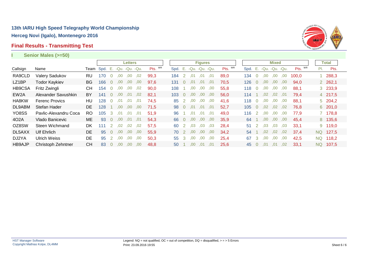### **Final Results - Transmitting Test**



**I Senior Males (>=50)**

|                   |                       |                |      |                            |                | <b>Letters</b> |     |         |      |              |      | <b>Figures</b> |      |         |      |                |      | <b>Mixed</b>         |      |         |           | Total   |  |
|-------------------|-----------------------|----------------|------|----------------------------|----------------|----------------|-----|---------|------|--------------|------|----------------|------|---------|------|----------------|------|----------------------|------|---------|-----------|---------|--|
| Callsign          | Name                  | Team           | Spd. | $^{\circ}$ . E, $^{\circ}$ | -Qu. -Qu. -Qu. |                |     | Pts. WR | Spd. | $-E_{\rm s}$ |      | -Qu. -Qu. -Qu. |      | Pts. WR | Spd. |                |      | E. - Qu. - Qu. - Qu. |      | Pts. WR |           | Pts.    |  |
| RA9CLD            | Valery Sadukov        | RU             | 170  |                            | .00            | .00            | .02 | 99.3    | 184  | 2            | .01  | .01            | .01  | 89,0    | 134  | $\Omega$       | .00  | .00                  | .00  | 100.0   |           | 288,3   |  |
| LZ1BP             | <b>Todor Kaykiev</b>  | <b>BG</b>      | 166  | $\overline{0}$             | .00            | .00            | .00 | 97.6    | 131  | $\Omega$     | .01  | .01            | .01  | 70,5    | 126  | $\Omega$       | .00. | .00.                 | .00. | 94.0    |           | 2 262,1 |  |
| HB9CSA            | Fritz Zwingli         | <b>CH</b>      | 154  |                            | .00            | .00            | .02 | 90,0    | 108  |              | .00  | .00            | .00  | 55,8    | 118  | 0              | .00  | .00                  | .00  | 88,1    |           | 3 233,9 |  |
| EW <sub>2</sub> A | Alexander Savushkin   | BY             | 141  |                            | .00            | .01            | .02 | 82.1    | 103  | $\Omega$     | .00  | .00            | .00  | 56,0    | 114  |                | .02  | .02 <sub>1</sub>     | .01  | 79.4    |           | 4 217,5 |  |
| HA8KW             | <b>Ferenc Provics</b> | HU.            | 128  | $\Omega$                   | .01            | .01            | .01 | 74,5    | 85   | 2            | .00. | .00            | .00  | 41,6    | 118  | $\overline{0}$ | .00. | .00                  | .00  | 88,1    |           | 5 204,2 |  |
| DL9ABM            | Stefan Hader          | DE.            | 128  |                            | .00            | .00.           | .00 | 71.5    | 98   | $\Omega$     | .01  | .01            | ,01  | 52,7    | 105  | $\Omega$       | .02  | .02                  | .02  | 76.8    |           | 6 201,0 |  |
| YO8SS             | Pavlic-Alexandru Coca | R <sub>O</sub> | 105  | 3                          | .01            | .01            | .01 | 51.9    | 96   |              | .01  | .01            | .01  | 49.0    | 116  | $\overline{2}$ | .00  | .00.                 | .00  | 77.9    |           | 7 178,8 |  |
| 402A              | Vlado Banicevic       | ME             | 93   | $\Omega$                   | .00.           | .01            | .01 | 54.3    | 66   | $\theta$     | .00. | .00.           | .00. | 35,9    | 64   |                | .00. | .00 <sub>1</sub>     | .00  | 45.4    |           | 8 135,6 |  |
| OZ8SW             | Steen Wichmand        | DK             | 111  |                            | .02            | .02            | .02 | 57.5    | 60   |              | .03  | .03            | .03  | 28.4    | 51   |                | .03  | .03                  | .03  | 33,1    |           | 9 119,0 |  |
| DL5AXX            | <b>Ulf Ehrlich</b>    | DE.            | 95   | $\overline{0}$             | .00            | .00            | .00 | 55.9    | 70   | -2           | .00. | .00            | .00. | 34.2    | 54   |                | .02  | ,02                  | .02  | 37.4    | NQ.       | 127,5   |  |
| DJ2YA             | <b>Ulrich Weiss</b>   | <b>DE</b>      | 95   | 2                          | .00            | .00            | .00 | 50,3    | 55   | 3            | .00  | .00            | .00  | 25,4    | 67   | 3              | .00  | .00.                 | .00  | 42,5    | <b>NQ</b> | 118,2   |  |
| <b>HB9AJP</b>     | Christoph Zehntner    | <b>CH</b>      | 83   | $\Omega$                   | .00.           | .00            | .00 | 48.8    | 50   |              | .00. | .01            | .01  | 25.6    | 45   | $\overline{0}$ | .01  | .01                  | .02  | 33.1    | NQ.       | 107.5   |  |
|                   |                       |                |      |                            |                |                |     |         |      |              |      |                |      |         |      |                |      |                      |      |         |           |         |  |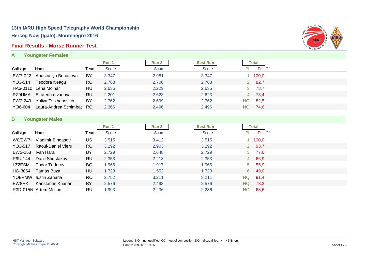### **Final Results - Morse Runner Test**

**A Youngster Females**



|          |                       |           | Run 1        | Run 2 | <b>Best Run</b> |      | Total   |
|----------|-----------------------|-----------|--------------|-------|-----------------|------|---------|
| Callsign | Name                  | Team      | <b>Score</b> | Score | Score           | PI.  | Pts. WR |
| EW7-022  | Anastaciya Behunova   | BY        | 3.347        | 2.981 | 3.347           |      | 1 100,0 |
| YO3-514  | Teodora Neagu         | <b>RO</b> | 2.768        | 2.700 | 2.768           |      | 282,7   |
|          | HA6-0110 Léna Molnár  | HU        | 2.635        | 2.229 | 2.635           |      | 3 78,7  |
| RZ9UMA   | Ekaterina Ivanova     | RU        | 2.201        | 2.623 | 2.623           |      | 4 78,4  |
| EW2-249  | Yuliya Tsikhanovich   | BY        | 2.762        | 2.699 | 2.762           | NQ.  | 82,5    |
| YO6-604  | Laura-Andrea Schimbat | RO.       | 2.366        | 2.496 | 2.496           | NQ I | 74,6    |

### **B Youngster Males**

|          |                       |           | Run 1        | Run 2 | <b>Best Run</b> |           | Total    |  |
|----------|-----------------------|-----------|--------------|-------|-----------------|-----------|----------|--|
| Callsign | Name                  | Team      | <b>Score</b> | Score | <b>Score</b>    | PI.       | Pts. WR  |  |
| W0/EW7-  | Vladimir Bindasov     | US        | 3.515        | 3.412 | 3.515           |           | 100,0    |  |
| YO3-517  | Raoul-Daniel Vieru    | RO        | 3.292        | 2.903 | 3.292           |           | 2 93,7   |  |
| EW2-253  | Ivan Hara             | BY        | 2.729        | 2.648 | 2.729           |           | 3 77,6   |  |
| R9U-144  | Danil Shestakov       | <b>RU</b> | 2.353        | 2.218 | 2.353           |           | 4 66,9   |  |
| LZ2ESM   | Todor Todorov         | BG        | 1.966        | 1.917 | .966            |           | 5, 55, 9 |  |
| HG-3064  | Tamás Buza            | HU        | 1.723        | 1.552 | 1.723           |           | 6 49,0   |  |
| YO8RMW   | Iustin Zaharia        | RO.       | 2.752        | 3.211 | 3.211           | NQ.       | 91,4     |  |
| EW8HK    | Kanstantin Kharlan    | BY        | 2.576        | 2.493 | 2.576           | <b>NQ</b> | 73,3     |  |
|          | R3D-015N Artem Melkin | RU        | 1.993        | 2.236 | 2.236           | NQ.       | 63.6     |  |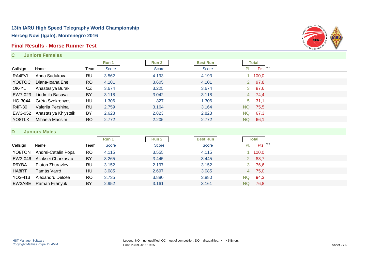### **Final Results - Morse Runner Test**

**C Juniors Females**



|          |                      |           | Run 1 | Run 2        | <b>Best Run</b> |           | <b>Total</b>  |  |
|----------|----------------------|-----------|-------|--------------|-----------------|-----------|---------------|--|
| Callsign | Name                 | Team      | Score | <b>Score</b> | <b>Score</b>    | PI.       | Pts. WR       |  |
| RA4FVL   | Anna Sadukova        | RU        | 3.562 | 4.193        | 4.193           |           | 1 100,0       |  |
| YO8TOC   | Diana-Ioana Ene      | <b>RO</b> | 4.101 | 3.605        | 4.101           |           | 2 97,8        |  |
| OK-YL    | Anastasiya Burak     | CZ        | 3.674 | 3.225        | 3.674           |           | $3\quad 87,6$ |  |
| EW7-023  | Liudmila Basava      | BY        | 3.118 | 3.042        | 3.118           |           | $4$ 74,4      |  |
| HG-3044  | Gréta Szekrenyesi    | HU        | 1.306 | 827          | 1.306           |           | $5\quad 31,1$ |  |
| R4F-30   | Valeriia Pershina    | <b>RU</b> | 2.759 | 3.164        | 3.164           | NQ        | 75,5          |  |
| EW3-052  | Anastasiya Khlystsik | BY        | 2.623 | 2.823        | 2.823           | NQ.       | 67,3          |  |
| YO8TLK   | Mihaela Macsim       | <b>RO</b> | 2.772 | 2.205        | 2.772           | <b>NQ</b> | 66,1          |  |

### **D Juniors Males**

|          |                         |           | Run 1        | <b>Run 2</b> | <b>Best Run</b> |     | <b>Total</b> |
|----------|-------------------------|-----------|--------------|--------------|-----------------|-----|--------------|
| Callsign | Name                    | Team      | <b>Score</b> | Score        | <b>Score</b>    |     | Pts. WR      |
| YO8TON   | Andrei-Catalin Popa     | <b>RO</b> | 4.115        | 3.555        | 4.115           |     | 100,0        |
| EW3-046  | Aliaksei Charkasau      | BY        | 3.265        | 3.445        | 3.445           |     | 2 83,7       |
| R9YBA    | <b>Platon Zhuravlev</b> | RU        | 3.152        | 2.197        | 3.152           |     | 3 76,6       |
| HA8RT    | Tamás Varró             | HU        | 3.085        | 2.697        | 3.085           |     | 4 75,0       |
| YO3-413  | Alexandru Delcea        | <b>RO</b> | 3.735        | 3.880        | 3.880           | NQ. | 94,3         |
|          | EW3ABE Raman Filanyuk   | BY        | 2.952        | 3.161        | 3.161           | NQ. | 76,8         |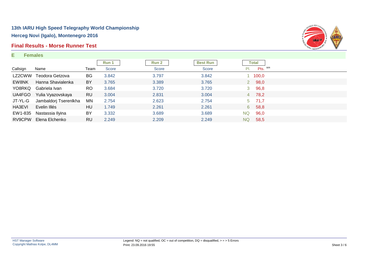### **Final Results - Morse Runner Test**

#### **E Females**



|          |                       |           | Run 1        | Run 2 | <b>Best Run</b> |           | Total    |  |
|----------|-----------------------|-----------|--------------|-------|-----------------|-----------|----------|--|
| Callsign | Name                  | Team      | <b>Score</b> | Score | Score           | PI.       | Pts. WR  |  |
| LZ2CWW   | Teodora Getzova       | <b>BG</b> | 3.842        | 3.797 | 3.842           |           | 1 100,0  |  |
| EW8NK    | Hanna Shavialenka     | BY        | 3.765        | 3.389 | 3.765           |           | 2 98,0   |  |
| YO8RKQ   | Gabriela Ivan         | RO.       | 3.684        | 3.720 | 3.720           |           | 3 96,8   |  |
| UA4FGO   | Yulia Vyazovskaya     | <b>RU</b> | 3.004        | 2.831 | 3.004           |           | 4 78,2   |  |
| JT-YL-G  | Jambaldorj Tserenlkha | MN        | 2.754        | 2.623 | 2.754           |           | $5$ 71,7 |  |
| HA3EVI   | Evelin Illés          | HU        | 1.749        | 2.261 | 2.261           |           | 6 58,8   |  |
| EW1-835  | Nastassia Ilyina      | BY        | 3.332        | 3.689 | 3.689           | <b>NQ</b> | 96,0     |  |
| RV9CPW   | Elena Elchenko        | <b>RU</b> | 2.249        | 2.209 | 2.249           | NQ.       | 58,5     |  |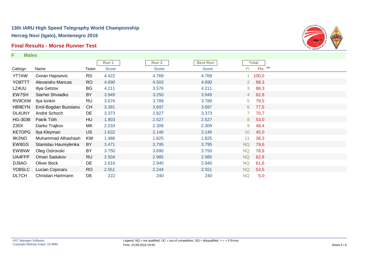### **Final Results - Morse Runner Test**

**F Males**



|               |                       |           | Run 1 | Run 2 | <b>Best Run</b> |                 | <b>Total</b> |  |
|---------------|-----------------------|-----------|-------|-------|-----------------|-----------------|--------------|--|
| Callsign      | Name                  | Team      | Score | Score | Score           | PI.             | Pts. WR      |  |
| <b>YT7AW</b>  | Goran Hajosevic       | <b>RS</b> | 4.422 | 4.769 | 4.769           |                 | 1 100,0      |  |
| YO8TTT        | Alexandru Mancas      | <b>RO</b> | 4.690 | 4.503 | 4.690           | $2^{\circ}$     | 98,3         |  |
| LZ4UU         | Iliya Getzov          | BG        | 4.211 | 3.576 | 4.211           | 3               | 88,3         |  |
| EW7SH         | Siarhei Shviadko      | BY        | 3.949 | 3.250 | 3.949           | 4               | 82,8         |  |
| RV9CKM        | Ilya Ionkin           | <b>RU</b> | 3.676 | 3.789 | 3.789           | 5               | 79,5         |  |
| HB9EYN        | Emil-Bogdan Buzoianu  | <b>CH</b> | 3.391 | 3.697 | 3.697           | 6               | 77,5         |  |
| DL4UNY        | André Schoch          | DE        | 3.373 | 2.827 | 3.373           | $\mathbf{7}$    | 70,7         |  |
| HG-3036       | Patrik Tóth           | HU        | 1.903 | 2.527 | 2.527           | 8               | 53,0         |  |
| Z30X          | Darko Trajkov         | МK        | 2.233 | 2.309 | 2.309           | 9               | 48,4         |  |
| <b>KE7OPG</b> | Ilya Kleyman          | <b>US</b> | 1.632 | 2.146 | 2.146           | 10 <sup>°</sup> | 45,0         |  |
| 9K2NO         | Muhammad Alhashash    | <b>KW</b> | 1.486 | 1.825 | 1.825           | 11              | 38,3         |  |
| EW8GS         | Stanislau Haureylenka | BY        | 3.471 | 3.795 | 3.795           | <b>NQ</b>       | 79,6         |  |
| EW8NW         | Oleg Ostrovski        | BY        | 3.750 | 3.690 | 3.750           | <b>NQ</b>       | 78,6         |  |
| UA4FFP        | Omari Sadukov         | <b>RU</b> | 2.504 | 2.985 | 2.985           | <b>NQ</b>       | 62,6         |  |
| DJ9AO         | Oliver Bock           | DE        | 2.616 | 2.940 | 2.940           | <b>NQ</b>       | 61,6         |  |
| YO8SLC        | Lucian Cojocaru       | <b>RO</b> | 2.551 | 2.244 | 2.551           | <b>NQ</b>       | 53,5         |  |
| DL7CH         | Christian Hartmann    | DE        | 222   | 240   | 240             | <b>NQ</b>       | 5,0          |  |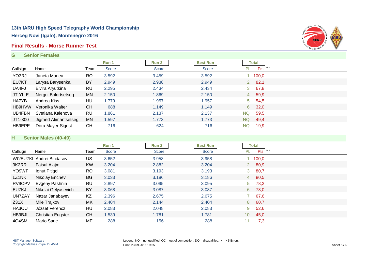### **Final Results - Morse Runner Test**

#### **G Senior Females**



|               |                      |           | Run 1 | Run 2        | <b>Best Run</b> |             | Total         |  |
|---------------|----------------------|-----------|-------|--------------|-----------------|-------------|---------------|--|
| Callsign      | Name                 | Team      | Score | <b>Score</b> | <b>Score</b>    | PI.         | Pts. WR       |  |
| YO3RJ         | Janeta Manea         | <b>RO</b> | 3.592 | 3.459        | 3.592           |             | 100,0         |  |
| EU7KT         | Larysa Barysenka     | BY        | 2.949 | 2.938        | 2.949           | $2^{\circ}$ | 82,1          |  |
| UA4FJ         | Elvira Aryutkina     | <b>RU</b> | 2.295 | 2.434        | 2.434           |             | $3\quad 67,8$ |  |
| JT-YL-E       | Nergui Bolortsetseg  | MN        | 2.150 | 1.869        | 2.150           |             | 4 59,9        |  |
| HA7YB         | Andrea Kiss          | HU        | 1.779 | 1.957        | .957            |             | $5\quad 54,5$ |  |
| <b>HB9HVW</b> | Veronika Walter      | <b>CH</b> | 688   | 1.149        | 1.149           |             | 6 32,0        |  |
| UB4FBN        | Svetlana Kalenova    | RU        | 1.861 | 2.137        | 2.137           | <b>NQ</b>   | 59,5          |  |
| JT1-300       | Jigmed Alimantsetseg | MN        | 1.597 | 1.773        | 1.773           | <b>NQ</b>   | 49,4          |  |
| HB9EPE        | Dora Mayer-Sigrist   | CН        | 716   | 624          | 716             | NQ.         | 19,9          |  |

### **H Senior Males (40-49)**

|          |                          |           | Run 1 | <b>Run 2</b> | <b>Best Run</b> |                 | Total   |  |
|----------|--------------------------|-----------|-------|--------------|-----------------|-----------------|---------|--|
| Callsign | Name                     | Team      | Score | Score        | Score           | PI.             | Pts. WR |  |
|          | W0/EU7KI Andrei Bindasov | <b>US</b> | 3.652 | 3.958        | 3.958           |                 | 100,0   |  |
| 9K2RR    | Faisal Alajmi            | <b>KW</b> | 3.204 | 2.882        | 3.204           |                 | 280,9   |  |
| YO9WF    | Ionut Pitigoi            | <b>RO</b> | 3.081 | 3.193        | 3.193           | 3 <sup>7</sup>  | 80,7    |  |
| LZ1NK    | Nikolay Enchev           | <b>BG</b> | 3.033 | 3.186        | 3.186           |                 | 4 80,5  |  |
| RV9CPV   | Evgeny Pashnin           | <b>RU</b> | 2.897 | 3.095        | 3.095           | $5 -$           | 78,2    |  |
| EU7KJ    | Nikolai Gelyasevich      | BY        | 3.068 | 3.087        | 3.087           | 6               | 78,0    |  |
| UN7ZAY   | Nazar Janabayev          | KZ        | 2.396 | 2.675        | 2.675           |                 | 67,6    |  |
| Z31X     | Mile Trajkov             | МK        | 2.404 | 2.144        | 2.404           |                 | 8 60,7  |  |
| HA3OU    | József Ferencz           | HU        | 2.083 | 2.048        | 2.083           | 9               | 52,6    |  |
| HB9BJL   | <b>Christian Eugster</b> | <b>CH</b> | 1.539 | 1.781        | 1.781           | 10 <sup>°</sup> | 45,0    |  |
| 4O4SM    | Mario Saric              | МE        | 288   | 156          | 288             | 11              | 7,3     |  |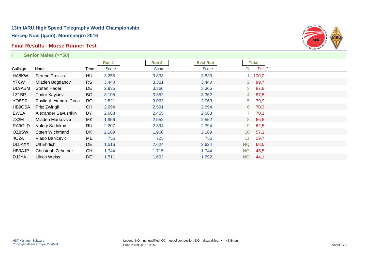### **Final Results - Morse Runner Test**



|                   | Senior Males (>=50)   |           |       |              |                 |                |              |  |
|-------------------|-----------------------|-----------|-------|--------------|-----------------|----------------|--------------|--|
|                   |                       |           | Run 1 | Run 2        | <b>Best Run</b> |                | <b>Total</b> |  |
| Callsign          | Name                  | Team      | Score | <b>Score</b> | <b>Score</b>    | PI.            | Pts. WR      |  |
| HA8KW             | <b>Ferenc Provics</b> | HU        | 3.255 | 3.833        | 3.833           |                | 100,0        |  |
| YT6W              | Mladen Bogdanov       | <b>RS</b> | 3.440 | 3.351        | 3.440           | $2^{\circ}$    | 89,7         |  |
| DL9ABM            | Stefan Hader          | DE        | 2.835 | 3.366        | 3.366           | 3 <sup>7</sup> | 87,8         |  |
| LZ1BP             | <b>Todor Kaykiev</b>  | <b>BG</b> | 3.105 | 3.352        | 3.352           |                | 4 87,5       |  |
| YO8SS             | Pavlic-Alexandru Coca | <b>RO</b> | 2.821 | 3.063        | 3.063           | 5 <sup>5</sup> | 79,9         |  |
| HB9CSA            | Fritz Zwingli         | <b>CH</b> | 2.694 | 2.591        | 2.694           | $6^{\circ}$    | 70,3         |  |
| EW <sub>2</sub> A | Alexander Savushkin   | <b>BY</b> | 2.688 | 2.455        | 2.688           |                | 70,1         |  |
| Z32M              | Mladen Markovski      | MK        | 1.956 | 2.552        | 2.552           | 8              | 66,6         |  |
| RA9CLD            | Valery Sadukov        | RU        | 2.207 | 2.394        | 2.394           | 9              | 62,5         |  |
| OZ8SW             | Steen Wichmand        | DK        | 2.189 | 1.960        | 2.189           | 10             | 57,1         |  |
| 402A              | Vlado Banicevic       | ME        | 756   | 725          | 756             | 11             | 19,7         |  |
| DL5AXX            | <b>Ulf Ehrlich</b>    | <b>DE</b> | 1.516 | 2.624        | 2.624           | <b>NQ</b>      | 68,5         |  |
| HB9AJP            | Christoph Zehntner    | <b>CH</b> | 1.744 | 1.715        | 1.744           | <b>NQ</b>      | 45,5         |  |
| DJ2YA             | <b>Ulrich Weiss</b>   | <b>DE</b> | 1.511 | 1.692        | 1.692           | <b>NQ</b>      | 44,1         |  |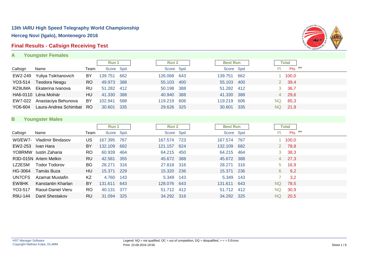### **Final Results - Callsign Receiving Test**

**A Youngster Females**



|          |                             |           | Run 1       |     | Run 2       |            | <b>Best Run</b> |     | Total                |
|----------|-----------------------------|-----------|-------------|-----|-------------|------------|-----------------|-----|----------------------|
| Callsign | Name                        | Team      | Score Spd.  |     |             | Score Spd. | Score Spd.      |     | Pts. WR<br>PI.       |
| EW2-249  | Yuliya Tsikhanovich         | BY        | 139.751 662 |     | 126.068 643 |            | 139.751         | 662 | $1 \quad 100,0$      |
| YO3-514  | Teodora Neagu               | RO        | 49.973 388  |     | 55.103 400  |            | 55.103          | 400 | 39,4<br>$\mathbf{2}$ |
| RZ9UMA   | Ekaterina Ivanova           | <b>RU</b> | 51.282 412  |     | 50.198 388  |            | 51.282 412      |     | 36,7<br>3            |
|          | HA6-0110 Léna Molnár        | HU        | 41.330 388  |     | 40.940 388  |            | 41.330          | 388 | 29,6<br>4            |
|          | EW7-022 Anastaciya Behunova | BY        | 102.941     | 588 | 119.219 606 |            | 119.219         | 606 | 85,3<br>NQ.          |
| YO6-604  | Laura-Andrea Schimbat RO    |           | 30.601 335  |     | 29.626 325  |            | 30.601          | 335 | 21,9<br>NQ.          |

### **B Youngster Males**

|          |                       |           | Run 1      |      | <b>Run 2</b> |     | <b>Best Run</b> |     |             | <b>Total</b>  |  |
|----------|-----------------------|-----------|------------|------|--------------|-----|-----------------|-----|-------------|---------------|--|
| Callsign | Name                  | Team      | Score Spd. |      | Score Spd.   |     | Score Spd.      |     | PI.         | Pts. WR       |  |
| W0/EW7-  | Vladimir Bindasov     | US.       | 167.395    | 767  | 167.574      | 723 | 167.574         | 767 |             | 1 100,0       |  |
| EW2-253  | Ivan Hara             | BY        | 132.109    | 682  | 121.157      | 624 | 132.109         | 682 | $2^{\circ}$ | 78,8          |  |
|          | YO8RMW lustin Zaharia | RO.       | 60.939     | 464  | 64.215 450   |     | 64.215          | 464 |             | $3\quad 38,3$ |  |
|          | R3D-015N Artem Melkin | <b>RU</b> | 42.581     | 355  | 45.672 388   |     | 45.672          | 388 |             | 4 27,3        |  |
| LZ2ESM   | <b>Todor Todorov</b>  | BG        | 28.271     | 316  | 27.818 316   |     | 28.271          | 316 | 5           | 16,9          |  |
| HG-3064  | Tamás Buza            | HU        | 15.371     | 229  | 15.320 236   |     | 15.371          | 236 | 6           | 9,2           |  |
| UN7CFS   | Azamat Mustafin       | <b>KZ</b> | 4.760      | 143  | 5.349 143    |     | 5.349           | 143 |             | 3,2           |  |
| EW8HK    | Kanstantin Kharlan    | BY        | 131.611    | 643  | 128,076 643  |     | 131.611         | 643 | NQ.         | 78,5          |  |
| YO3-517  | Raoul-Daniel Vieru    | RO.       | 40.131     | -377 | 51.712 412   |     | 51.712          | 412 | NQ.         | 30,9          |  |
| R9U-144  | Danil Shestakov       | <b>RU</b> | 31.094     | 325  | 34.292 316   |     | 34.292          | 325 | NQ          | 20,5          |  |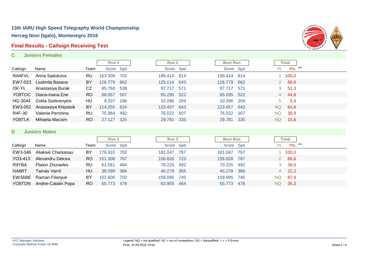# **Final Results - Callsign Receiving Test**

**C Juniors Females**



|          |                      |           | Run 1      |     | Run 2       |       | <b>Best Run</b> |      |              | Total   |  |
|----------|----------------------|-----------|------------|-----|-------------|-------|-----------------|------|--------------|---------|--|
| Callsign | Name                 | Team      | Score Spd. |     | Score Spd.  |       | Score Spd.      |      | PI.          | Pts. WR |  |
| RA4FVL   | Anna Sadukova        | RU        | 163.309    | 702 | 190.414 814 |       | 190.414 814     |      |              | 1 100,0 |  |
| EW7-023  | Liudmila Basava      | BY        | 126.779    | 662 | 125.114 643 |       | 126.779         | 662  | $\mathbf{2}$ | 66,6    |  |
| OK-YL    | Anastasiya Burak     | CZ        | 85.760     | 538 | 97.717      | 571   | 97.717          | 571  | 3            | 51,3    |  |
| YO8TOC   | Diana-Ioana Ene      | <b>RO</b> | 68.057     | 507 | 85.295 522  |       | 85.295 522      |      | 4            | 44,8    |  |
| HG-3044  | Gréta Szekrenyesi    | HU        | 9.337      | 186 | 10.286 204  |       | 10.286          | -204 | 5            | -5,4    |  |
| EW3-052  | Anastasiya Khlystsik | BY        | 114.255    | 624 | 123.457 643 |       | 123.457 643     |      | <b>NQ</b>    | 64,8    |  |
| R4F-30   | Valeriia Pershina    | RU        | 75.984     | 492 | 76.022      | - 507 | 76.022          | 507  | <b>NQ</b>    | 39,9    |  |
| YO8TLK   | Mihaela Macsim       | RO.       | 27.127     | 325 | 29.781 335  |       | 29.781          | 335  | NQ.          | 15,6    |  |

#### **D Juniors Males**

|          |                         |      | Run 1       |     | Run 2       |            | <b>Best Run</b> | <b>Total</b> |
|----------|-------------------------|------|-------------|-----|-------------|------------|-----------------|--------------|
| Callsign | Name                    | Team | Score Spd.  |     |             | Score Spd. | Score Spd.      | Pts. WR      |
| EW3-046  | Aliaksei Charkasau      | BY   | 176.910 702 |     | 181.047     | 767        | 181.047 767     | 1 100,0      |
| YO3-413  | Alexandru Delcea        | RO.  | 151.308 767 |     | 156.828 723 |            | 156.828 767     | 2 86,6       |
| R9YBA    | <b>Platon Zhuravlev</b> | RU   | 61.561      | 464 | 70.225 492  |            | 70.225 492      | 3, 38, 8     |
| HA8RT    | Tamás Varró             | HU   | 38.299 366  |     | 40.278 355  |            | 40.278 366      | $4$ 22,2     |
|          | EW3ABE Raman Filanyuk   | BY   | 152.606 702 |     | 159.095 745 |            | 159.095 745     | NQ 87,9      |
| YO8TON   | Andrei-Catalin Popa     | RO.  | 65,773 478  |     | 63.955 464  |            | 65.773 478      | NQ 36,3      |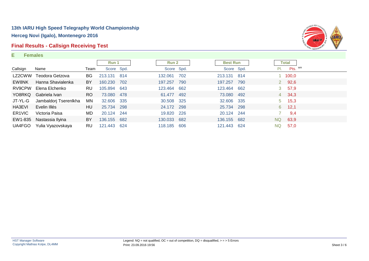### **Final Results - Callsign Receiving Test**

#### **E Females**



|                     |                       |      | Run 1       |     | <b>Run 2</b> |     | <b>Best Run</b> |  |     | <b>Total</b>    |  |
|---------------------|-----------------------|------|-------------|-----|--------------|-----|-----------------|--|-----|-----------------|--|
| Callsign            | Name                  | Team | Score Spd.  |     | Score Spd.   |     | Score Spd.      |  | PI. | Pts. WR         |  |
| LZ2CWW              | Teodora Getzova       | BG.  | 213.131     | 814 | 132.061      | 702 | 213.131 814     |  |     | $1 \quad 100,0$ |  |
| EW8NK               | Hanna Shavialenka     | BY   | 160.230     | 702 | 197.257      | 790 | 197.257 790     |  |     | 2 92,6          |  |
| RV9CPW              | Elena Elchenko        | RU.  | 105.894     | 643 | 123.464 662  |     | 123.464 662     |  |     | 3, 57, 9        |  |
| YO8RKQ              | Gabriela Ivan         | RO.  | 73.080      | 478 | 61.477 492   |     | 73.080 492      |  |     | $4\quad 34,3$   |  |
| JT-YL-G             | Jambaldorj Tserenlkha | MN   | 32.606 335  |     | 30.508 325   |     | 32.606 335      |  |     | $5 \quad 15,3$  |  |
| HA3EVI              | Evelin Illés          | HU   | 25.734      | 298 | 24.172 298   |     | 25.734 298      |  |     | $6$ 12,1        |  |
| ER <sub>1</sub> VIC | Victoria Paisa        | MD.  | 20.124      | 244 | 19.820 226   |     | 20.124 244      |  |     | 9,4             |  |
| EW1-835             | Nastassia Ilyina      | BY.  | 136.155     | 682 | 130.033 682  |     | 136.155 682     |  |     | NQ 63,9         |  |
| UA4FGO              | Yulia Vyazovskaya     | RU.  | 121.443 624 |     | 118.185 606  |     | 121.443 624     |  | NQ. | 57,0            |  |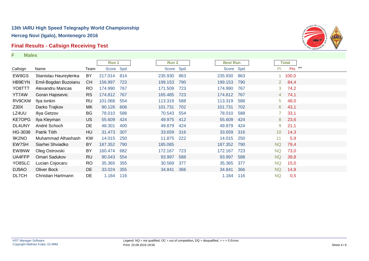### **Final Results - Callsign Receiving Test**

**F Males**



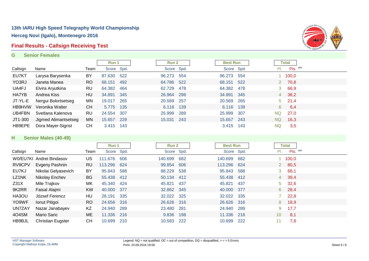### **Final Results - Callsign Receiving Test**

#### **G Senior Females**



|               |                      |           | Run 1      |     | <b>Run 2</b> |            | <b>Best Run</b> |     | <b>Total</b> |  |
|---------------|----------------------|-----------|------------|-----|--------------|------------|-----------------|-----|--------------|--|
| Callsign      | Name                 | Team      | Score Spd. |     |              | Score Spd. | Score Spd.      | PI. | Pts. WR      |  |
| EU7KT         | Larysa Barysenka     | BY        | 87.630 522 |     | 96.273 554   |            | 96.273 554      |     | 1 100,0      |  |
| YO3RJ         | Janeta Manea         | <b>RO</b> | 68.151     | 492 | 64.786 522   |            | 68.151 522      |     | 2 70,8       |  |
| UA4FJ         | Elvira Aryutkina     | RU        | 64.382 464 |     | 62.729 478   |            | 64.382 478      |     | 3 66,9       |  |
| HA7YB         | Andrea Kiss          | HU        | 34.891     | 345 | 26.964 298   |            | 34.891 345      |     | 4 36,2       |  |
| JT-YL-E       | Nergui Bolortsetseg  | MN        | 19.017     | 265 | 20.569 257   |            | 20.569 265      |     | $5$ 21,4     |  |
| <b>HB9HVW</b> | Veronika Walter      | <b>CH</b> | 5.775 135  |     | 6.116 139    |            | 6.116 139       |     | 6 6,4        |  |
| UB4FBN        | Svetlana Kalenova    | RU        | 24.554 307 |     | 25.999 289   |            | 25.999 307      | NQ. | 27,0         |  |
| JT1-300       | Jigmed Alimantsetseg | MN        | 15.657     | 229 | 15.031 243   |            | 15.657 243      | NQ. | 16,3         |  |
| HB9EPE        | Dora Mayer-Sigrist   | <b>CH</b> | 3.415 143  |     |              |            | 3.415 143       | NQ  | 3,5          |  |

### **H Senior Males (40-49)**

|          |                          |           | Run 1       |     | <b>Run 2</b> |            | <b>Best Run</b> |      | <b>Total</b>           |  |
|----------|--------------------------|-----------|-------------|-----|--------------|------------|-----------------|------|------------------------|--|
| Callsign | Name                     | Team      | Score Spd.  |     |              | Score Spd. | Score Spd.      |      | Pts. WR<br>PI.         |  |
|          | W0/EU7KI Andrei Bindasov | US.       | 111.676 606 |     | 140.699 682  |            | 140.699         | 682  | 100,0                  |  |
| RV9CPV   | Evgeny Pashnin           | RU.       | 113.296 624 |     | 99.854 606   |            | 113.296 624     |      | 280,5                  |  |
| EU7KJ    | Nikolai Gelyasevich      | BY        | 95.843 588  |     | 88.229       | 538        | 95.843          | 588  | 368,1                  |  |
| LZ1NK    | Nikolay Enchev           | BG        | 55.438 412  |     | 50.134 412   |            | 55.438          | 412  | 4 39,4                 |  |
| Z31X     | Mile Trajkov             | МK        | 45.340 424  |     | 45.821 437   |            | 45.821          | -437 | $5\quad 32,6$          |  |
| 9K2RR    | Faisal Alajmi            | <b>KW</b> | 40.000 377  |     | 32.862 345   |            | 40,000 377      |      | $6\quad 28,4$          |  |
| HA3OU    | József Ferencz           | HU        | 28.191 335  |     | 32.022 325   |            | 32.022 335      |      | $7\quad 22,8$          |  |
| YO9WF    | Ionut Pitigoi            | <b>RO</b> | 24.656 316  |     | 26.626 316   |            | 26.626 316      |      | 8 18,9                 |  |
| UN7ZAY   | Nazar Janabayev          | KZ        | 24.940 289  |     | 23.480 281   |            | 24.940          | 289  | 17,7<br>9              |  |
| 4O4SM    | Mario Saric              | ME        | 11.336      | 216 | 9.836        | 198        | 11.336          | 216  | 8,1<br>10 <sup>°</sup> |  |
| HB9BJL   | <b>Christian Eugster</b> | <b>CH</b> | 10.699      | 210 | 10.583 222   |            | 10.699          | 222  | 7,6<br>11              |  |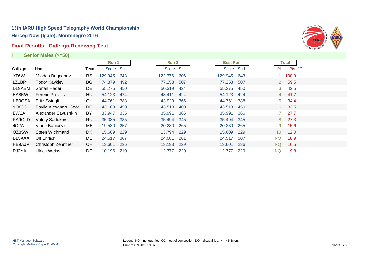### **Final Results - Callsign Receiving Test**



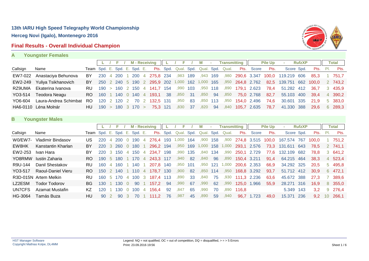### **Final Results - Overall Individual Champion**



| А |  | <b>Youngster Females</b> |  |
|---|--|--------------------------|--|
|   |  |                          |  |

|          |                             |    |  |  |  | L / F / M-Receiving L / F / M           |         |      |         | <b>Contractor</b> |      | <b>Transmitting</b> |                                                                               | <b>Pile Up</b> | $\sim$                                                                                             | <b>RufzXP</b> |      | <b>Total</b>  |
|----------|-----------------------------|----|--|--|--|-----------------------------------------|---------|------|---------|-------------------|------|---------------------|-------------------------------------------------------------------------------|----------------|----------------------------------------------------------------------------------------------------|---------------|------|---------------|
| Callsign | Name                        |    |  |  |  |                                         |         |      |         |                   |      |                     | Team Spd. E. Spd. E. Spd. E. Pts. Spd. Qual. Spd. Qual. Spd. Qual. Pts. Score | Pts.           | Score Spd.                                                                                         |               |      | Pts. Pl. Pts. |
|          | EW7-022 Anastaciya Behunova | BY |  |  |  |                                         |         |      |         |                   |      |                     |                                                                               |                | 230 4 200 1 200 4 275,8 234 ,983 189 ,943 169 ,980 290,6 3.347 100,0 119.219 606 85,3 1 751,7      |               |      |               |
|          | EW2-249 Yuliya Tsikhanovich |    |  |  |  |                                         |         |      |         |                   |      |                     |                                                                               |                | BY 250 2 240 5 190 2 295,9 202 1,000 162 1,000 165 ,950 264,8 2.762 82,5 139.751 662 100,0 2 743,2 |               |      |               |
| RZ9UMA   | Ekaterina Ivanova           |    |  |  |  | RU 190 > 160 2 150 4 141,7 154 ,990 103 |         |      |         |                   |      |                     |                                                                               |                | 78,4 51.282 412 36,7                                                                               |               |      | 3 435,9       |
| YO3-514  | Teodora Neagu               |    |  |  |  | RO 160 1 140 0 140 4 193,1 38 ,850 31   |         |      | ,850 94 |                   | ,850 |                     | 75,0 2.768                                                                    | 82,7           | 55.103 400 39,4 4 390,2                                                                            |               |      |               |
| YO6-604  | Laura-Andrea Schimbat RO    |    |  |  |  | 120 2 120 2 70 2 132,5 131              | ,950    | - 83 |         |                   |      |                     | ,850 113 ,950 154,0 2.496                                                     | 74.6           | 30.601 335 21,9                                                                                    |               |      | 5 383,0       |
|          | HA6-0110 Léna Molnár        |    |  |  |  | $HU$ 190 > 180 3 170 > 75.3 121         | ,830 37 |      | ,820 94 |                   |      |                     | 840 <b>105,7</b> 2.635                                                        | 78,7           | 41.330 388                                                                                         |               | 29.6 | 6 289,3       |
|          |                             |    |  |  |  |                                         |         |      |         |                   |      |                     |                                                                               |                |                                                                                                    |               |      |               |

### **B Youngster Males**

|          |                       |                              |            |                |            |                | <b>M</b> - Receiving |   |             |           |       |      |            |     | Transmitting |             |             | <b>Pile Up</b> | <b>COL</b>  | <b>RufzXP</b> |               |     | <b>Total</b> |
|----------|-----------------------|------------------------------|------------|----------------|------------|----------------|----------------------|---|-------------|-----------|-------|------|------------|-----|--------------|-------------|-------------|----------------|-------------|---------------|---------------|-----|--------------|
| Callsign | Name                  | Team Spd. E. Spd. E. Spd. E. |            |                |            |                |                      |   |             | Pts. Spd. | Qual. | Spd. | Qual. Spd. |     | Qual.        | Pts.        | Score       | Pts.           | Score Spd.  |               | Pts.          | PI. | Pts.         |
| W0/EW7-  | Vladimir Bindasov     | US                           | <b>220</b> | $\overline{4}$ | <b>200</b> |                | 190                  | 4 | 276.4       | 193       | 000,  | 164  | ,900       | 158 | ,900         |             | 274,8 3.515 | 100,0          | 167.574     | -767          | 100.0         |     | 751.2        |
| EW8HK    | Kanstantin Kharlan    | BY                           | 220        | 3              | <b>260</b> |                | 180                  |   | 296,2 194   |           | ,950  | 169  | 1,000      | 158 | 1,000        | 293,1       | 2.576       | 73,3           | 131.611     | -643          | 78.5          |     | 2 741.1      |
| EW2-253  | Ivan Hara             | BY                           | <b>220</b> | -3.            | 150        | $\overline{4}$ | 150                  | 4 | 234.7       | 198       | ,990  | 135  | ,840       | 134 | ,990         | 250,1       | 2.729       | 77.6           | 132.109 682 |               | 78.8          |     | 3 641.2      |
| YO8RMW   | lustin Zaharia        | RO.                          | 190        | -5             | <b>180</b> |                | - 170                | 4 | 243,3       | -117      | .940  | 82   | ,840       | 96  | ,890         | 150,4 3.211 |             | 91,4           | 64.215 464  |               | 38,3          |     | 4 523,4      |
| R9U-144  | Danil Shestakov       | RU.                          | 160        | 4              | 160        |                | 140                  |   | 207.8       | 140       | ,950  | 101  | ,950       | 121 | 1,000        | 200,6 2.353 |             | 66,9           | 34.292 325  |               | 20.5          |     | 5 495.8      |
| YO3-517  | Raoul-Daniel Vieru    | RO.                          | 150        |                | 2 140      |                | - 110                |   | 4 178.7     | 130       | ,900  | 82   | ,850       | 114 | ,950         | 168,8 3.292 |             | 93,7           | 51.712 412  |               | 30.9          |     | 6 472.1      |
|          | R3D-015N Artem Melkin | RU.                          | 160.       |                | 5 170      | $-4$           | 100                  |   | 3 187,4 113 |           | .890  | 33   | ,840       | 75  | ,930         |             | 111,3 2.236 | 63,6           | 45.672 388  |               | 27.3          |     | 389.6        |
| LZ2ESM   | Todor Todorov         | BG.                          | 130        |                | 130        |                | 90                   |   | 157.2       | 94        | ,990  | 67   | ,990       | 62  | ,990         |             | 125.0 1.966 | 55.9           | 28.271 316  |               | 16.9          |     | 8 355,0      |
| UN7CFS   | Azamat Mustafin       | KZ                           | 120        |                | 130.       |                | 100                  | 4 | 156.4       | 92        | .847  | 65   | .990       | 70  | .890         | 116.8       |             |                | 5.349       | 143           | 3.2           |     | 9 276,4      |
| HG-3064  | Tamás Buza            | HU                           | 90         |                | 90         |                | 70.                  |   | 111.2       | 76        | ,987  | 45   | ,890       | 59  | ,940         | 96.7        | 1.723       | 49,0           | 15.371      | -236          | $9.2^{\circ}$ | 10  | 266.1        |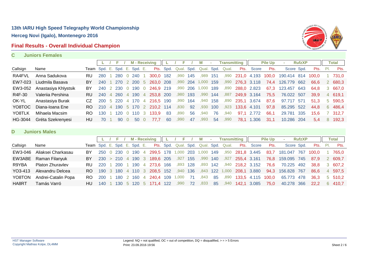### **Final Results - Overall Individual Champion**



#### **C Juniors Females**

|          |                      |                              |     |                 |         |              | <b>M</b> - Receiving        |      | F                    |          | м     | $\sim$ | <b>Transmitting</b> |                  |            | <b>Pile Up</b> | a.                                       | <b>RufzXP</b> |                 |   | <b>Total</b> |
|----------|----------------------|------------------------------|-----|-----------------|---------|--------------|-----------------------------|------|----------------------|----------|-------|--------|---------------------|------------------|------------|----------------|------------------------------------------|---------------|-----------------|---|--------------|
| Callsign | Name                 | Team Spd. E. Spd. E. Spd. E. |     |                 |         |              |                             |      | Pts. Spd. Qual. Spd. |          |       |        | Qual. Spd. Qual.    |                  | Pts. Score | Pts.           | Score Spd.                               |               | <b>Pts.</b> Pl. |   | Pts.         |
| RA4FVL   | Anna Sadukova        | <b>RU</b>                    | 280 | 280             | 0.240   |              | 300,0 182                   |      | .990                 | 145      | .989  | 151    |                     |                  |            |                | ,990 231,0 4.193 100,0 190.414 814 100,0 |               |                 |   | 731.0        |
| EW7-023  | Liudmila Basava      | BY                           | 240 | 270             | 2 200 5 |              | 263,0 208                   |      | ,990 204             |          | 1,000 | 159    |                     | ,990 276,3 3.118 |            | 74.4           | 126.779 662                              |               | 66.6            |   | 2 680.3      |
| EW3-052  | Anastasiya Khlystsik | BY                           | 240 |                 |         |              | 2 230 0 190 0 246.9 219     |      | .990                 | 206      | 1,000 | 189    | ,890                | 288,0 2.823      |            | 67.3           | 123.457 643                              |               | 64.8            |   | 3 667,0      |
| R4F-30   | Valeriia Pershina    | RU.                          |     |                 |         |              | 240 4 260 4 190 4 253,8 200 |      |                      | ,980 193 | ,990  | 144    | ,887                | 249,9 3.164      |            | 75.5           | 76.022 507                               |               | 39.9            |   | 4 619.1      |
| OK-YL    | Anastasiya Burak     | CZ                           |     | 200 5 220 4 170 |         |              | 4 216,5 190                 |      | .990                 | 164      | .940  | 158    | .890                | 235.1 3.674      |            | 87.6           | 97.717 571                               |               | 51.3            |   | 5 590.5      |
| YO8TOC   | Diana-Ioana Ene      | RO.                          | 210 |                 |         |              | 4 190 5 170 2 210.2 114     |      | .830                 | 92       | ,930  | 100    |                     |                  |            | 97.8           | 85.295 522                               |               | 44.8            |   | 6 486,4      |
| YO8TLK   | Mihaela Macsim       | RO.                          | 130 | 120 0 110       |         | $\mathbf{3}$ | 133.9                       | - 83 | .890                 | 56       | .940  | 76     | .940                | 97.1             | 2.772      | 66.1           | 29.781 335                               |               | 15.6            |   | 7 312.7      |
| HG-3044  | Gréta Szekrenyesi    | HU                           | 70  | 90 O            | 50 0    |              | 77.7                        | 60   | .990                 | 47       | .993  | 54     | .990                | 78.1             | .306       | -31.1          | 10.286 204                               |               | 5.4             | 8 | 192.3        |
|          |                      |                              |     |                 |         |              |                             |      |                      |          |       |        |                     |                  |            |                |                                          |               |                 |   |              |

#### **D Juniors Males**

|          |                       |                              |               |  |  | $L / F / M$ - Receiving $   L$              | ' F      |          | M    | $\sim 100$ | <b>Transmitting</b>                        |                         |                       | <b>Pile Up</b> | <b>College</b>         | <b>RufzXP</b> |                 | <b>Total</b> |
|----------|-----------------------|------------------------------|---------------|--|--|---------------------------------------------|----------|----------|------|------------|--------------------------------------------|-------------------------|-----------------------|----------------|------------------------|---------------|-----------------|--------------|
| Callsign | Name                  | Team Spd. E. Spd. E. Spd. E. |               |  |  |                                             |          |          |      |            | Pts. Spd. Qual. Spd. Qual. Spd. Qual. Pts. |                         | Score                 | Pts.           | Score Spd.             |               | <b>Pts.</b> Pl. | Pts.         |
| EW3-046  | Aliaksei Charkasau    | BY.                          |               |  |  | 250 0 230 0 190 4 299,5 178 1,000 203 1,000 |          |          |      | 149        |                                            |                         | ,950 281,8 3.445      |                | 83,7 181.047 767 100,0 |               |                 | 765.0        |
|          | EW3ABE Raman Filanyuk | BY.                          |               |  |  | 230 > 210 4 190 3 189,6 205                 | ,927 155 |          | ,990 | 140        |                                            | ,927 <b>255,4 3.161</b> |                       | 76.8           | 159.095 745            |               | 87.9            | 2 609.7      |
| R9YBA    | Platon Zhuravlev      | RU.                          | <b>220</b>    |  |  | 1 200 1 190 4 273,6 166                     |          | ,893 128 |      |            | ,893 142 ,940 218,2 3.152                  |                         |                       | 76.6           | 70.225 492             |               | 38.8            | 3 607.2      |
| YO3-413  | Alexandru Delcea      |                              |               |  |  | RO 190 3 180 4 110 3 208,5 152              | ,940 136 |          |      |            | ,843 122 1,000 208,1 3.880                 |                         |                       | 94.3           | 156.828 767            |               | 86.6            | 4 597.5      |
| YO8TON   | Andrei-Catalin Popa   | RO 200                       |               |  |  |                                             | 1,000    | -71      | ,843 | 85         |                                            |                         | 890 133,5 4.115 100,0 |                | 65.773 478             |               | 36.3            | 5 510.2      |
| HA8RT    | Tamás Varró           | HU.                          | $140 \quad 1$ |  |  | 130 5 120 5 171.4 122                       | ,990     | 72       | ,833 |            | 85 ,940 142,1 3.085                        |                         |                       | 75.0           | 40.278 366             |               | 22.2            | 6 410.7      |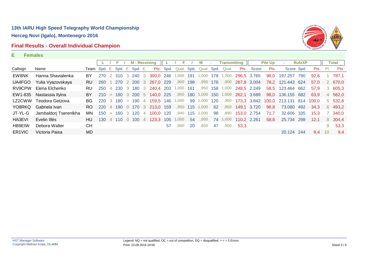### **Final Results - Overall Individual Champion**



#### **E Females**

|                    |                       |                              |            |        |            | <b>M</b> - Receiving |              |                   |      | E.    |      | м          | ×   | <b>Transmitting</b> |             |             | <b>Pile Up</b> |             | <b>RufzXP</b> |       |      | Total   |
|--------------------|-----------------------|------------------------------|------------|--------|------------|----------------------|--------------|-------------------|------|-------|------|------------|-----|---------------------|-------------|-------------|----------------|-------------|---------------|-------|------|---------|
| Callsign           | Name                  | Team Spd. E. Spd. E. Spd. E. |            |        |            |                      |              | Pts.              | Spd. | Qual. | Spd. | Qual. Spd. |     | Qual.               | Pts.        | Score       | Pts.           | Score Spd.  |               | Pts.  | -PI. | Pts.    |
| EW8NK              | Hanna Shavialenka     | BY                           | 270        | 2      | 310        | 3 240                | - 3          | 300.0 246         |      | 000.1 | 191  | 000. ا     | 178 | 1,000               | 296,5 3.765 |             | 98,0           | 197.257     | 790           | 92.6  |      | 787.1   |
| UA4FGO             | Yulia Vyazovskaya     | RU.                          | 260        |        | <b>270</b> | 2 200 3              |              | 267,0 229         |      | ,900  | 198  | ,950       | 176 | ,900                | 267,8 3.004 |             | 78,2           | 121.443 624 |               | 57.0  |      | 2 670,0 |
| RV9CPW             | Elena Elchenko        | RU.                          | 250        | 4      | <b>230</b> | 3 180                | $\degree$ 3  | 240.4 203 1,000   |      |       | 161  | .950       | 158 | 1,000               | 248,5 2.249 |             | 58,5           | 123,464 662 |               | 57.9  |      | 3 605.3 |
| EW1-835            | Nastassia Ilyina      | BY                           | 210        | $\geq$ | 180        | 3 200 5              |              | 140,0 225         |      | .950  | 180  | 1,000      | 150 | 1,000               | 262,1       | 3.689       | 96,0           | 136.155 682 |               | 63.9  |      | 4 562,0 |
| LZ2CWW             | Teodora Getzova       | BG.                          | <b>220</b> | 3      | 180        | >190                 |              | 4 159,5 146 1,000 |      |       | 99   | 1,000      | 120 | ,950                |             | 173,3 3.842 | 100,0          | 213.131 814 |               | 100.0 |      | 5 532,8 |
| YO8RKQ             | Gabriela Ivan         | RO.                          | <b>220</b> | 4      | 190        | 0 170                | $\mathbf{3}$ | 213,0 159         |      | .950  | 115  | 1,000      | 62  | ,850                | 149,1       | 3.720       | 96,8           | 73,080 492  |               | 34.3  |      | 6 493,2 |
| JT-YL-G            | Jambaldorj Tserenlkha | MN                           | 150        | $\geq$ | 160        | 3 120                | 4            | 100.0             | 120  | .940  | 115  | 1.000      | 98  | .890                |             | 153,0 2.754 | 71,7           | 32,606 335  |               | 15.3  |      | 340,0   |
| HA3EVI             | Evelin Illés          | HU.                          | 130        |        | 110        | 100                  | 4            | 123.3             | 105  | 000.  | 54   | .950       | 74  | 000.                | 110.2 2.261 |             | 58,8           | 25.734 298  |               | 12,1  |      | 8 304,4 |
| <b>HB9EIW</b>      | Debora Walter         | <b>CH</b>                    |            |        |            |                      |              |                   | 57   | .900  | 20   | .850       | 47  | .900                | 53.3        |             |                |             |               |       | 9    | 53,3    |
| ER <sub>1VIC</sub> | Victoria Paisa        | MD.                          |            |        |            |                      |              |                   |      |       |      |            |     |                     |             |             |                | 20.124 244  |               | 9,4   | 10   | 9,4     |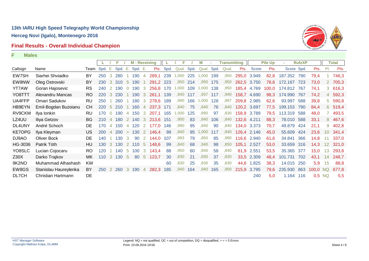# **Final Results - Overall Individual Champion**



|               |                       |                   |            |                | F          |                | <b>M</b> - Receiving |                |           |      | F     |      | М     |      | <b>Transmitting</b> |             |             | <b>Pile Up</b> |            | <b>RufzXP</b> |          |                 | <b>Total</b> |
|---------------|-----------------------|-------------------|------------|----------------|------------|----------------|----------------------|----------------|-----------|------|-------|------|-------|------|---------------------|-------------|-------------|----------------|------------|---------------|----------|-----------------|--------------|
| Callsign      | Name                  | Team Spd. E. Spd. |            |                |            | - E.           | Spd. E.              |                | Pts.      | Spd. | Qual. | Spd. | Qual. | Spd. | Qual.               | Pts.        | Score       | Pts.           | Score Spd. |               | Pts.     | PI.             | Pts.         |
| EW7SH         | Siarhei Shviadko      | BY                | 250        | 3              | 280        |                | 190                  | $\overline{4}$ | 289.1     | 239  | 1,000 | 225  | 1,000 | 199  | ,950                |             | 295,0 3.949 | 82,8           | 187.352    | 790           | 79,4     |                 | 746,3        |
| EW8NW         | Oleg Ostrovski        | BY                | 230        | 3              | 310        | -5             | 190                  |                | 291,2 223 |      | ,950  | 214  | ,950  | 175  | ,950                | 262,5       | 3.750       | 78,6           | 172.167    | 723           | 73,0     |                 | 2 705,3      |
| <b>YT7AW</b>  | Goran Hajosevic       | <b>RS</b>         | 240        |                | 190        |                | 190                  | 3              | 256.8     | 170  | 1,000 | 109  | 1,000 | 138  | ,950                | 185,4       | 4.769       | 100.0          | 174.812    | 767           | 74,1     |                 | 3 616,3      |
| YO8TTT        | Alexandru Mancas      | RO.               | 220        |                | 230        |                | 190                  | 3              | 261.1     | 139  | ,940  | 117  | .937  | 117  | ,940                | 158,7       | 4.690       | 98,3           | 174.990    | 767           | 74,2     | 4               | 592,3        |
| UA4FFP        | Omari Sadukov         | RU                | 250        |                | 260        |                | 180                  | 3              | 278.6     | 189  | .990  | 166  | 1,000 | 128  | .897                | 209,8       | 2.985       | 62,6           | 93.997     | 588           | 39,8     | 5               | 590,8        |
| HB9EYN        | Emil-Bogdan Buzoianu  | <b>CH</b>         | 220        | 5              | 210        |                | 160                  | $\overline{4}$ | 237.3     | 171  | ,840  | 75   | ,840  | 76   | ,840                | 120,2 3.697 |             | 77.5           | 199.153    | 790           | 84,4     |                 | 6 519,4      |
| RV9CKM        | Ilya Ionkin           | RU                | 170        |                | 190        | 4              | 150                  | 3              | 207.1     | 165  | 000,1 | 125  | ,890  | 97   | ,830                | 158,9       | 3.789       | 79,5           | 113.319    | 588           | 48,0     |                 | 493,5        |
| LZ4UU         | Iliya Getzov          | BG.               | <b>210</b> | $\overline{4}$ | 180        | $\overline{2}$ | 140                  | 3              | 213,6 151 |      | ,900  | 83   | ,840  | 106  | ,840                | 132,6       | 4.211       | 88,3           | 78.010     | 588           | 33,1     |                 | 8 467,6      |
| DL4UNY        | André Schoch          | DE                | 170        | 4              | 150        | $\overline{4}$ | 120                  | <sup>2</sup>   | 177,0     | 146  | ,990  | 95   | ,840  | 90   | ,840                |             | 134,0 3.373 | 70,7           | 49.879     | 424           | 21,1     | 9               | 402,8        |
| <b>KE7OPG</b> | Ilya Kleyman          | US.               | 200        | $\overline{4}$ | <b>200</b> | $\rightarrow$  | 130                  |                | 2 146,4   | 99   | ,840  | 95   | 1,000 | 117  | ,840                |             | 126,4 2.146 | 45,0           | 55.609     | 424           | 23,6     | 10 <sup>°</sup> | 341,4        |
| DJ9AO         | Oliver Bock           | DE                | 140        |                | 130        | 3              | 90                   | 2              | 144,0     | 107  | ,993  | 79   | ,850  | 85   | ,990                |             | 116,6 2.940 | 61,6           | 34.841     | 366           | 14,8     | 11              | 337,0        |
| HG-3036       | Patrik Tóth           | HU                | 130        | 3              | 130        |                | 2 110                | $-5$           | 148,6     | 99   | ,840  | 68   | ,940  | 98   | ,850                | 105,1 2.527 |             | 53,0           | 33.659 316 |               | 14,3     | 12 <sup>2</sup> | 321,0        |
| YO8SLC        | Lucian Cojocaru       | RO.               | 120        |                | 140        | -5             | 100                  | 3              | 143,4     | 88   | ,950  | 60   | ,840  | 58   | ,840                | 81,9        | 2.551       | 53,5           | 35.365 377 |               | 15,0     | 13              | 293,8        |
| Z30X          | Darko Trajkov         | МK                | 110        | 3              | 130        | - 5            | 80                   | -5             | 123,7     | 30   | ,830  | 21   | ,830  | 37   | ,830                |             | 33,5 2.309  | 48,4           | 101.731    | 702           | 43,1     | 14              | 248,7        |
| 9K2NO         | Muhammad Alhashash    | <b>KW</b>         |            |                |            |                |                      |                |           | 60   | ,830  | 25   | ,830  | 35   | ,830                | 44,6        | 1.825       | 38,3           | 14.015     | 250           | 5,9      | 15              | 88,8         |
| EW8GS         | Stanislau Haureylenka | BY                | <b>250</b> |                |            |                | 2 260 3 190          | $\overline{4}$ | 282,3     | 185  | ,940  | 164  | ,940  | 165  | ,900                | 215,9       | 3.795       | 79,6           | 235.930    | 863           | 100,0 NQ |                 | 677,8        |
| DL7CH         | Christian Hartmann    | DE                |            |                |            |                |                      |                |           |      |       |      |       |      |                     |             | 240         | 5,0            | 1.164 116  |               | 0,5 NQ   |                 | 5,5          |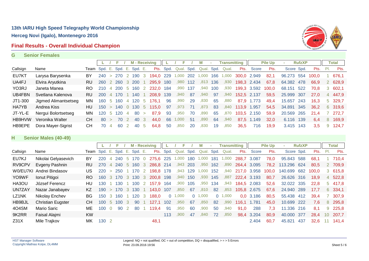### **Final Results - Overall Individual Champion**



#### **G Senior Females**

|          |                      |                              |                                       |     | F.            |                | M - Receiving |               |           |     | Е               |     | м          | ×.  | <b>Transmitting</b> |             |             | <b>Pile Up</b> | ×.         | <b>RufzXP</b> |               |     | Total   |
|----------|----------------------|------------------------------|---------------------------------------|-----|---------------|----------------|---------------|---------------|-----------|-----|-----------------|-----|------------|-----|---------------------|-------------|-------------|----------------|------------|---------------|---------------|-----|---------|
| Callsign | Name                 | Team Spd. E. Spd. E. Spd. E. |                                       |     |               |                |               |               | Pts.      |     | Spd. Qual. Spd. |     | Qual. Spd. |     | Qual.               | Pts.        | Score       | Pts.           | Score Spd. |               | Pts.          | PI. | Pts.    |
| EU7KT    | Larysa Barysenka     | BY                           | 240                                   |     | >270          |                | 2 190         | - 3           | 194,0 229 |     | 000.1           | 202 | 1.000      | 166 | 1,000               | 300,0 2.949 |             | 82,1           | 96.273 554 |               | 100.0         |     | 676,1   |
| UA4FJ    | Elvira Aryutkina     | <b>RU</b>                    | <b>260</b>                            |     | 2 2 6 0       |                | 3 200         |               | 295,9 180 |     | ,980            | 112 | .813       | 136 | ,930                |             | 198,3 2.434 | 67.8           | 64.382 478 |               | 66.9          |     | 2 628,9 |
| YO3RJ    | Janeta Manea         | RO.                          |                                       |     | 4 200 5 160 2 |                |               |               | 232,0 184 |     | .990            | 137 | .940       | 100 | ,930                |             | 199,3 3.592 | 100.0          | 68.151 522 |               | 70.8          |     | 3,602,1 |
| UB4FBN   | Svetlana Kalenova    | RU.                          | <b>200</b>                            |     | 4 170         |                | - 140         |               | 208,9 139 |     | .940            | -87 | .940       | 97  | .940                | 152,5 2.137 |             | 59.5           | 25.999 307 |               | 27.0          |     | 4 447.9 |
| JT1-300  | Jigmed Alimantsetseg | MN.                          | 160                                   | - 5 | 160           | 4              | 120 5         |               | 176.1     | 96  | .990            | 29  | .830       | 65  | ,880                | 87.9        | 1.773       | 49.4           | 15.657 243 |               | 16.3          |     | 5 329.7 |
| HA7YB    | Andrea Kiss          | HU                           | $150 > 140 \quad 0 \quad 130 \quad 5$ |     |               |                |               |               | 115,0 97  |     | .973            | 71  | .873       | 83  | .840                | 113,9 1.957 |             | 54.5           | 34.891 345 |               | 36.2          |     | 6 319,6 |
| JT-YL-E  | Nergui Bolortsetseg  | MN.                          | 120                                   | 5   | 120           | $\overline{4}$ | -80           | $\rightarrow$ | 87.9      | -93 | .950            | 70  | .890       | 65  | .870                |             | 103,5 2.150 | 59.9           | 20.569     | 265           | 21.4          |     | 272.7   |
| HB9HVW   | Veronika Walter      | CH.                          | 80                                    |     | 70            |                | 40            | - 3           | 44.0      | 66  | 000.            | 51  | .890       | 64  | .940                |             | 87,5 1.149  | 32.0           | 6.116      | 139           | 6.4           |     | 8 169,9 |
| HB9EPE   | Dora Mayer-Sigrist   | CH.                          | 70                                    | 4   | -60           |                | 40            | $\mathbf b$   | 64.8      | -50 | .850            | 20  | .830       | 19  | .850                | 36.5        | 716         | 19,9           | 3.415 143  |               | $3.5^{\circ}$ | 9   | 124.7   |

### **H Senior Males (40-49)**

|                  |                          |                              |       |               |     |               | <b>M</b> - Receiving |                         |           |      |          |      |          |      | Transmitting |             |       | <b>Pile Up</b> |             | <b>RufzXP</b> |       |     | Total   |
|------------------|--------------------------|------------------------------|-------|---------------|-----|---------------|----------------------|-------------------------|-----------|------|----------|------|----------|------|--------------|-------------|-------|----------------|-------------|---------------|-------|-----|---------|
| Callsign         | Name                     | Team Spd. E. Spd. E. Spd. E. |       |               |     |               |                      |                         | Pts.      | Spd. | Qual.    | Spd. | Qual.    | Spd. | Qual.        | Pts.        | Score | Pts.           | Score Spd.  |               | Pts.  | PI. | Pts.    |
| EU7KJ            | Nikolai Gelyasevich      | BY                           | 220   | 4             | 240 |               | 5 170 0              |                         | 275,6 225 |      | .000.    | 180  | 1.000    | 181  | 1,000        | 288,7 3.087 |       | 78,0           | 95.843 588  |               | 68,1  |     | 710,4   |
| RV9CPV           | Evgeny Pashnin           | RU                           |       |               | 240 |               | 5 160                | $\overline{\mathbf{3}}$ | 286.8 214 |      | ,943     | 203  | ,950     | 162  | ,890         | 264,4 3.095 |       | 78,2           | 113.296 624 |               | 80.5  |     | 2 709.9 |
|                  | W0/EU7KI Andrei Bindasov | US                           |       | $\geq$        | 250 |               | 170                  | $\overline{2}$          | 198.8     | 178  | ,943     | 129  | 1,000    | 152  | ,940         | 217,0 3.958 |       | 100,0          | 140.699     | 682           | 100.0 |     | 3615,8  |
| YO9WF            | Ionut Pitigoi            | RO.                          | 160   | $\mathcal{B}$ | 170 | $\mathcal{B}$ | 130                  | - 3                     | 200,8 198 |      | ,940     | 150  | ,930     | 145  | ,887         | 222,4 3.193 |       | 80,7           | 26.626      | -316          | 18,9  |     | 4 522,8 |
| HA3OU            | József Ferencz           | HU                           | 130   |               | 130 |               | 100                  | $\overline{2}$          | 157,9 164 |      | ,900     | 105  | ,950     | 134  | ,943         | 184,5 2.083 |       | 52,6           | 32.022 335  |               | 22.8  |     | 5 417.8 |
| UN7ZAY           | Nazar Janabayev          | KZ.                          | 190   | $\rightarrow$ | 170 |               | 3 130                |                         | 143.0     | 107  | ,850     | 67   | .810     | 82   | .853         | 105,8 2.675 |       | 67,6           | 24.940 289  |               | 17,7  |     | 6 334,1 |
| LZ1NK            | Nikolay Enchev           | BG.                          | 150   | 3             | 160 |               | 120                  | -3                      | 188.0     |      | 0, 1,000 |      | 0, 1,000 |      | 0, 1,000     | 0,0         | 3.186 | 80,5           | 55.438 412  |               | 39,4  |     | 307,9   |
| HB9BJL           | <b>Christian Eugster</b> | CH.                          | 100   | 5             | 100 | -3            | 90                   |                         | 127.1     | 102  | ,950     | 67   | .850     | 82   | ,990         | 116.1       | 1.781 | 45,0           | 10.699 222  |               | 7.6   |     | 8 295,8 |
| 4O4SM            | Mario Saric              | ME.                          | 100   |               | 90  |               | 80                   |                         | 119.4     | -91  | ,950     | 60   | .900     | 50   | .940         | 91,0        | 288   | 7,3            | 11.336      | 216           | 8.1   | 9   | 225,8   |
| 9K2RR            | Faisal Alajmi            | <b>KW</b>                    |       |               |     |               |                      |                         |           | 113  | .900     | 47   | .840     | 72   | .850         | 98,4        | 3.204 | 80,9           | 40.000      | -377          | 28.4  | 10  | 207.7   |
| Z <sub>31X</sub> | Mile Trajkov             | MK.                          | 130 2 |               |     |               |                      |                         | 48.1      |      |          |      |          |      |              |             | 2.404 | 60.7           | 45.821      | 437           | 32.6  | 11  | 141.4   |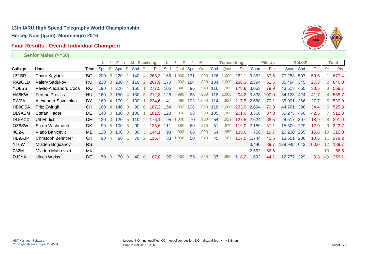# **Final Results - Overall Individual Champion**



**I Senior Males (>=50)**

|                   |                       |                              |                  |                | F.    |                | <b>M</b> - Receiving |                |            |           |       |      | м          |     | <b>Transmitting</b> |       |              | <b>Pile Up</b> | ×.          | <b>RufzXP</b> |        |                 | <b>Total</b> |
|-------------------|-----------------------|------------------------------|------------------|----------------|-------|----------------|----------------------|----------------|------------|-----------|-------|------|------------|-----|---------------------|-------|--------------|----------------|-------------|---------------|--------|-----------------|--------------|
| Callsign          | Name                  | Team Spd. E. Spd. E. Spd. E. |                  |                |       |                |                      |                |            | Pts. Spd. | Qual. | Spd. | Qual. Spd. |     | Qual.               | Pts.  | <b>Score</b> | Pts.           | Score Spd.  |               | Pts.   | PI.             | Pts.         |
| LZ1BP             | <b>Todor Kaykiev</b>  | BG                           | <b>200</b>       | -5             | 220   |                | 140                  | 4              | 268,3      | 166       | 1,000 | 131  | .990       | 126 | 1,000               |       | 262,1 3.352  | 87,5           | 77.258      | 507           | 59,5   |                 | 677,4        |
| RA9CLD            | <b>Valery Sadukov</b> | RU                           | <b>230</b>       |                | 3 230 | $\overline{4}$ | 110                  | $\overline{2}$ | 267,9      | 170       | .993  | 184  | .890       | 134 | 1,000               |       | 288,3 2.394  | 62,5           | 35.494 345  |               | 27,3   |                 | 2 646,0      |
| YO8SS             | Pavlic-Alexandru Coca | RO                           | 190              | $\overline{4}$ | 220   | 4              | 160                  |                | 277.5      | 105       | ,840  | 96   | ,940       | 116 | ,900                | 178,8 | 3.063        | 79,9           | 43.513      | 450           | 33,5   |                 | 3 569,7      |
| HA8KW             | <b>Ferenc Provics</b> | HU.                          | 160              |                | 2 150 |                | 4 130                | -5             | 212,8 128  |           | ,990  | 85   | ,900       | 118 | 1,000               |       | 204,2 3.833  | 100,0          | 54.123      | 424           | 41,7   |                 | 4 558,7      |
| EW <sub>2</sub> A | Alexander Savushkin   | BY                           | 160              |                | 4 170 |                | 1 130                |                | 224,6 141  |           | .990  | 103  | 1,000      | 114 | ,933                |       | 217,5 2.688  | 70,1           | 35.991      | 366           | 27,7   |                 | 5 539,9      |
| HB9CSA            | Fritz Zwingli         | CН                           | 160              |                | 4 140 | $\Omega$       | 90                   | $\overline{0}$ | 187.2      | 154       | ,993  | 108  | ,950       | 118 | 1,000               | 233,9 | 2.694        | 70,3           | 44.761      | 388           | 34,4   |                 | 6 525,8      |
| DL9ABM            | Stefan Hader          | DE                           | 140              | $\Omega$       | 130   | $\overline{0}$ | 100                  |                | 181,5      | 128       | ,950  | 98   | ,990       | 105 | ,980                |       | 201,0 3.366  | 87,8           | 55.275      | 450           | 42,5   |                 | 512,8        |
| DL5AXX            | <b>Ulf Ehrlich</b>    | DE.                          | 130              |                | 0.120 | -5             | 110                  |                | 2 176.1    | 95        | ,000  | 70   | ,900       | 54  | ,929                |       | 127,5 2.624  | 68,5           | 24.517 307  |               | 18,9   |                 | 8 391,0      |
| OZ8SW             | Steen Wichmand        | DK.                          | 90               | -5             | 100   | -3             | 90                   | <sup>2</sup>   | 135.6      | 111       | .880  | 60   | ,870       | 51  | ,870                | 119,0 | 2.189        | 57,1           | 15.609      | 229           | 12,0   | 9               | 323,7        |
| 402A              | Vlado Banicevic       | ME                           | 120 <sup>°</sup> | -3-            | 100   | $\Omega$       | 80                   | $\mathbf{3}$   | 144.1      | 93        | ,993  | 66   | 1,000      | 64  | ,950                | 135,6 | 756          | 19,7           | 20.230      | 265           | 15,6   | 10              | 315,0        |
| HB9AJP            | Christoph Zehntner    | <b>CH</b>                    | 90               | -4             | 80    |                |                      |                | 70 2 115,7 | 83        | 1,000 | 50   | ,943       | 45  | ,987                |       | 107,5 1.744  | 45,5           | 13.601      | 236           | 10.5   | 11              | 279,2        |
| YT <sub>6</sub> W | Mladen Bogdanov       | <b>RS</b>                    |                  |                |       |                |                      |                |            |           |       |      |            |     |                     |       | 3.440        | 89,7           | 129.945 643 |               | 100.0  | 12 <sup>2</sup> | 189,7        |
| Z32M              | Mladen Markovski      | MK                           |                  |                |       |                |                      |                |            |           |       |      |            |     |                     |       | 2.552        | 66,6           |             |               |        | 13 <sup>2</sup> | 66,6         |
| DJ2YA             | <b>Ulrich Weiss</b>   | <b>DE</b>                    | 70               | - 0            | 70    | $\Omega$       | 40                   | $\Omega$       | 87,0       | 95        | ,900  | 55   | .850       | 67  | ,850                |       | 118,2 1.692  | 44,1           | 12.777 229  |               | 9,8 NQ |                 | 259,1        |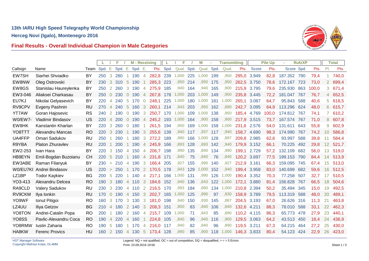

# **Final Results - Overall Individual Champion in Male Categories**

|                |                          |              | L.  |                 | F               |                | <b>M</b> - Receiving |                |           |           | F          |     | М          |     | <b>Transmitting</b> |             |            | <b>Pile Up</b> |             | <b>RufzXP</b> |       |                      | <b>Total</b> |
|----------------|--------------------------|--------------|-----|-----------------|-----------------|----------------|----------------------|----------------|-----------|-----------|------------|-----|------------|-----|---------------------|-------------|------------|----------------|-------------|---------------|-------|----------------------|--------------|
| Callsign       | Name                     | Team Spd. E. |     |                 | Spd. E. Spd. E. |                |                      |                |           | Pts. Spd. | Qual. Spd. |     | Qual. Spd. |     | Qual.               |             | Pts. Score | Pts.           | Score Spd.  |               | Pts.  | PI.                  | Pts.         |
| EW7SH          | Siarhei Shviadko         | BY           | 250 | $\mathbf{3}$    | 280             |                | 190                  | $\overline{4}$ | 282,8     | 239       | 1,000      | 225 | 1,000      | 199 | ,950                | 295,0       | 3.949      | 82,8           | 187.352     | 790           | 79,4  |                      | 740,0        |
| EW8NW          | Oleg Ostrovski           | BY           | 230 | $\mathbf{3}$    | 310             | $\sqrt{5}$     | 190                  |                | 285,3     | 223       | ,950       | 214 | ,950       | 175 | ,950                | 262,5       | 3.750      | 78,6           | 172.167     | 723           | 73.0  | $\mathbf{2}^{\circ}$ | 699,4        |
| EW8GS          | Stanislau Haureylenka    | <b>BY</b>    | 250 | 2               | 260             | 3              | 190                  | 4              | 275,9     | 185       | ,940       | 164 | ,940       | 165 | ,900                | 215,9       | 3.795      | 79,6           | 235.930     | 863           | 100,0 | 3                    | 671,4        |
| EW3-046        | Aliaksei Charkasau       | BY           | 250 | $\Omega$        | 230             | $\overline{0}$ | 190                  | $\overline{4}$ | 267.8     | 178       | 1,000      | 203 | 1,000      | 149 | .950                | 235,8       | 3.445      | 72.2           | 181.047     | 767           | 76,7  | $\overline{4}$       | 652,5        |
| EU7KJ          | Nikolai Gelyasevich      | BY           | 220 | $\overline{4}$  | 240             | 5              | 170                  | $\overline{0}$ | 248,1     | 225       | 1,000      | 180 | 1,000      | 181 | 000.1               | 265,1       | 3.087      | 64,7           | 95.843      | 588           | 40,6  | 5                    | 618,5        |
| RV9CPV         | Evgeny Pashnin           | <b>RU</b>    | 270 | $\overline{4}$  | 240             | $\sqrt{5}$     | 160                  | 3              | 260,1     | 214       | ,943       | 203 | ,950       | 162 | ,890                | 242,7       | 3.095      | 64,9           | 113.296 624 |               | 48,0  | 6                    | 615,7        |
| YT7AW          | Goran Hajosevic          | <b>RS</b>    | 240 | 2               | 190             | $\Omega$       | 190                  | 3              | 250,7     | 170       | 1,000      | 109 | 1,000      | 138 | .950                | 185.4       | 4.769      | 100.0          | 174.812     | 767           | 74,1  |                      | 610,2        |
| <b>W0/EW7-</b> | <b>Vladimir Bindasov</b> | US           | 220 | $\overline{4}$  | 200             | $\overline{0}$ | 190                  | -4             | 245,2 193 |           | 1,000      | 164 | ,900       | 158 | ,900                | 217,9       | 3.515      | 73,7           | 167.574     | 767           | 71,0  | 8                    | 607,8        |
| EW8HK          | Kanstantin Kharlan       | BY           | 220 | 3               | 260             | $\Omega$       | 180                  |                | 261,5     | 194       | .950       | 169 | 1,000      | 158 | ,000                | 231,6       | 2.576      | 54,0           | 131.611     | 643           | 55,8  | 9                    | 602,9        |
| YO8TTT         | Alexandru Mancas         | <b>RO</b>    | 220 | 3               | 230             |                | 190                  | -3             | 255,6     | 139       | ,940       | 117 | ,937       | 117 | ,940                | 158,7       | 4.690      | 98.3           | 174.990     | 767           | 74,2  | 10                   | 586,8        |
| UA4FFP         | Omari Sadukov            | <b>RU</b>    | 250 |                 | 260             |                | 180                  | 3              | 272,2     | 189       | ,990       | 166 | 1,000      | 128 | ,897                | 209,8       | 2.985      | 62,6           | 93.997      | 588           | 39,8  | 11                   | 584,4        |
| R9YBA          | Platon Zhuravlev         | <b>RU</b>    | 220 |                 | 200             |                | 190                  | $\overline{4}$ | 245,9     | 166       | .893       | 128 | .893       | 142 | .940                | 179,9       | 3.152      | 66,1           | 70.225      | 492           | 29,8  | 12                   | 521,7        |
| EW2-253        | Ivan Hara                | BY           | 220 | 3               | 150             | 4              | 150                  | 4              | 206,7     | 198       | ,990       | 135 | ,840       | 134 | ,990                | 199.1       | 2.729      | 57,2           | 132.109     | 682           | 56,0  | 13                   | 519,0        |
| HB9EYN         | Emil-Bogdan Buzoianu     | <b>CH</b>    | 220 | $5\overline{)}$ | 210             |                | 160                  | 4              | 231,8     | 171       | ,840       | 75  | ,840       | 76  | ,840                | 120,2 3.697 |            | 77,5           | 199.153     | 790           | 84,4  | 14                   | 513,9        |
| EW3ABE         | Raman Filanyuk           | BY           | 230 | $\geq$          | 210             | $\overline{4}$ | 190                  | -3             | 166,4 205 |           | ,927       | 155 | ,990       | 140 | ,927                | 212,9       | 3.161      | 66,3           | 159.095     | 745           | 67,4  | 15                   | 513,0        |
|                | W0/EU7KI Andrei Bindasov | US           | 220 | $\geq$          | 250             |                | 170                  | $\overline{2}$ | 170,5     | 178       | ,943       | 129 | 1,000      | 152 | ,940                | 199,4       | 3.958      | 83.0           | 140.699     | 682           | 59,6  | 16                   | 512,5        |
| LZ1BP          | <b>Todor Kaykiev</b>     | <b>BG</b>    | 200 | 5               | 220             |                | 140                  | $\overline{4}$ | 217,1     | 166       | 1,000      | 131 | .990       | 126 | 1,000               | 190,4       | 3.352      | 70,3           | 77.258      | 507           | 32,7  | 17                   | 510,5        |
| YO3-413        | Alexandru Delcea         | <b>RO</b>    | 190 | $\mathbf{3}$    | 180             | $\overline{4}$ | 110                  | $\mathbf{3}$   | 184,6     | 152       | ,940       | 136 | ,843       | 122 | 1,000               | 172,1       | 3.880      | 81,4           | 156.828     | 767           | 66,5  | 18                   | 504,6        |
| RA9CLD         | Valery Sadukov           | RU           | 230 | 3               | 230             | $\overline{4}$ | 110                  | 2              | 216.5     | 170       | .993       | 184 | ,890       | 134 | 1.000               | 210.8       | 2.394      | 50,2           | 35.494      | 345           | 15,0  | 19                   | 492,5        |
| RV9CKM         | Ilya Ionkin              | <b>RU</b>    | 170 | $\overline{0}$  | 190             |                | 4 150                | 3              | 202,7     | 165       | 1,000      | 125 | ,890       | 97  | ,830                | 158,9       | 3.789      | 79,5           | 113.319     | 588           | 48,0  | <b>20</b>            | 489,1        |
| YO9WF          | Ionut Pitigoi            | <b>RO</b>    | 160 | $\mathbf{3}$    | 170             | 3              | 130                  | 3              | 181,0     | 198       | ,940       | 150 | ,930       | 145 | ,887                | 204,5       | 3.193      | 67,0           | 26.626      | 316           | 11,3  | 21                   | 463,8        |
| LZ4UU          | Iliya Getzov             | BG           | 210 | $\overline{4}$  | 180             | 2              | 140                  | 3              | 208,3     | 151       | ,900       | 83  | ,840       | 106 | .840                | 132,6       | 4.211      | 88,3           | 78.010      | 588           | 33.1  | 22                   | 462,3        |
| YO8TON         | Andrei-Catalin Popa      | <b>RO</b>    | 200 |                 | 180             | $\overline{2}$ | 160                  | 4              | 215,7     | 109       | 1,000      | 71  | ,843       | 85  | ,890                | 110.2       | 4.115      | 86,3           | 65.773      | 478           | 27,9  | 23                   | 440,1        |
| YO8SS          | Pavlic-Alexandru Coca    | <b>RO</b>    | 190 | $\overline{4}$  | 220             | $\overline{4}$ | 160                  |                | 224,8     | 105       | ,840       | 96  | ,940       | 116 | .900                | 129,5       | 3.063      | 64,2           | 43.513      | 450           | 18,4  | 24                   | 436,9        |
| YO8RMW         | <b>Iustin Zaharia</b>    | <b>RO</b>    | 190 | -5              | 180             |                | 170                  | 4              | 216.0     | 117       | ,940       | 82  | .840       | 96  | .890                | 119.5       | 3.211      | 67.3           | 64.215      | 464           | 27.2  | 25                   | 430,0        |
| HA8KW          | <b>Ferenc Provics</b>    | HU           | 160 |                 | 2 150           | $\overline{4}$ | 130                  | $-5$           | 173,4     | 128       | ,990       | 85  | ,900       | 118 | 1,000               | 146,3       | 3.833      | 80,4           | 54.123      | 424           | 22,9  | 26                   | 423,0        |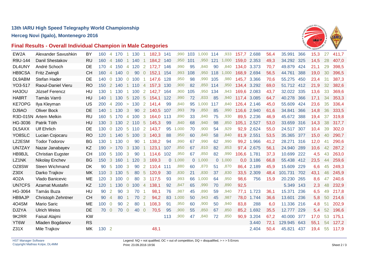

### **Final Results - Overall Individual Champion in Male Categories**

| EW2A          | Alexander Savushkin      | BY        | 160   | 4              | 170        |                      | 130 |                      | 182,3 141 |          | ,990  | 103      | 1,000 | 114 | ,933  | 157,7 2.688 |            | 56,4 | 35.991     | 366 | 15,3 | 27 | 411,7 |
|---------------|--------------------------|-----------|-------|----------------|------------|----------------------|-----|----------------------|-----------|----------|-------|----------|-------|-----|-------|-------------|------------|------|------------|-----|------|----|-------|
| R9U-144       | Danil Shestakov          | <b>RU</b> | 160   | $\overline{4}$ | 160        |                      | 140 | -1                   | 184,2     | 140      | ,950  | 101      | ,950  | 121 | 1,000 | 159,0       | 2.353      | 49,3 | 34.292     | 325 | 14,5 | 28 | 407,0 |
| DL4UNY        | André Schoch             | DE        | 170   |                | 4 150      | $\overline{4}$       | 120 | $\overline{2}$       | 172,7 146 |          | ,990  | 95       | ,840  | 90  | ,840  | 134,0 3.373 |            | 70,7 | 49.879     | 424 | 21,1 | 29 | 398,5 |
| HB9CSA        | Fritz Zwingli            | <b>CH</b> | 160   | $\overline{4}$ | 140        | $\Omega$             | 90  | $\overline{0}$       | 152,1 154 |          | .993  | 108      | .950  | 118 | 1,000 | 168,9       | 2.694      | 56,5 | 44.761     | 388 | 19,0 | 30 | 396,5 |
| DL9ABM        | Stefan Hader             | DE        | 140   | $\overline{0}$ | 130        | $\overline{0}$       | 100 |                      | 147.6     | 128      | ,950  | 98       | .990  | 105 | ,980  | 145.7       | 3.366      | 70,6 | 55.275     | 450 | 23,4 | 31 | 387,3 |
| YO3-517       | Raoul-Daniel Vieru       | RO        | 150   | $\overline{2}$ | 140        |                      | 110 | $\overline{4}$       | 157,3 130 |          | ,900  | 82       | ,850  | 114 | ,950  | 134,4       | 3.292      | 69,0 | 51.712 412 |     | 21,9 | 32 | 382,6 |
| HA3OU         | József Ferencz           | HU        | 130   |                | 1 130      | $\blacktriangleleft$ | 100 | 2                    | 142,7     | 164      | ,900  | 105      | ,950  | 134 | ,943  | 169,6       | 2.083      | 43,7 | 32.022     | 335 | 13,6 | 33 | 369,6 |
| HA8RT         | Tamás Varró              | HU        | 140   |                | 130        | $-5$                 | 120 | $\sqrt{5}$           | 154.1     | 122      | ,990  | 72       | ,833  | 85  | ,940  | 117,4       | 3.085      | 64,7 | 40.278     | 366 | 17,1 | 34 | 353,3 |
| <b>KE7OPG</b> | Ilya Kleyman             | US        | 200   | $\overline{4}$ | <b>200</b> | $\geq$               | 130 | 2                    | 141.4     | 99       | ,840  | 95       | 1,000 | 117 | .840  | 126,4       | 2.146      | 45,0 | 55.609     | 424 | 23,6 | 35 | 336,4 |
| DJ9AO         | <b>Oliver Bock</b>       | DE        | 140   |                | 130        | 3                    | 90  | $\overline{2}$       | 140,5     | 107      | ,993  | 79       | ,850  | 85  | ,990  | 116,6       | 2.940      | 61,6 | 34.841     | 366 | 14,8 | 36 | 333,5 |
|               | R3D-015N Artem Melkin    | RU        | 160   | 5              | 170        | $\overline{4}$       | 100 | 3                    | 164.0     | 113      | ,890  | 33       | ,840  | 75  | .930  | 89,5        | 2.236      | 46,9 | 45.672     | 388 | 19,4 | 37 | 319,8 |
| HG-3036       | Patrik Tóth              | HU        | 130   | 3              | 130        | $\overline{2}$       | 110 | $\sqrt{5}$           | 145,3     | 99       | ,840  | 68       | ,940  | 98  | ,850  | 105,1       | 2.527      | 53,0 | 33.659     | 316 | 14,3 | 38 | 317,7 |
| DL5AXX        | <b>Ulf Ehrlich</b>       | DE        | 130   | $\overline{0}$ | 120        | $5\overline{)}$      | 110 | 2                    | 143,7     | 95       | 1,000 | 70       | ,900  | 54  | ,929  | 92,9        | 2.624      | 55,0 | 24.517     | 307 | 10,4 | 39 | 302,0 |
| YO8SLC        | Lucian Cojocaru          | <b>RO</b> | 120   |                | $1 \t140$  | $-5$                 | 100 | 3                    | 140,3     | 88       | ,950  | 60       | ,840  | 58  | ,840  | 81,9        | 2.551      | 53,5 | 35.365     | 377 | 15,0 | 40 | 290,7 |
| LZ2ESM        | <b>Todor Todorov</b>     | BG        | 130   |                | 130        | $\overline{0}$       | 90  |                      | 138,2     | 94       | ,990  | 67       | ,990  | 62  | ,990  | 99,2        | 1.966      | 41,2 | 28.271     | 316 | 12,0 | 41 | 290,6 |
| UN7ZAY        | Nazar Janabayev          | KZ        | 190   | $\geq$         | 170        | $\mathbf{3}$         | 130 | $\blacktriangleleft$ | 123,1     | 107      | ,850  | 67       | ,810  | 82  | ,853  | 97,4        | 2.675      | 56,1 | 24.940     | 289 | 10,6 | 42 | 287,2 |
| HB9BJL        | <b>Christian Eugster</b> | <b>CH</b> | 100   | -5             | 100        | 3                    | 90  | -1                   | 114,6     | 102      | .950  | 67       | ,850  | 82  | ,990  | 106,6       | 1.781      | 37,3 | 10.699     | 222 | 4,5  | 43 | 263,0 |
| LZ1NK         | Nikolay Enchev           | <b>BG</b> | 150   | $\mathbf{3}$   | 160        |                      | 120 | 3                    | 169,3     | $\Omega$ | 1,000 | $\Omega$ | 1,000 | 0   | 1,000 | 0,0         | 3.186      | 66,8 | 55.438     | 412 | 23,5 | 44 | 259,6 |
| OZ8SW         | Steen Wichmand           | DK        | 90    | -5             | 100        | -3                   | 90  | 2                    | 110.4     | 111      | ,880  | 60       | ,870  | 51  | ,870  | 86,4        | 2.189      | 45,9 | 15.609     | 229 | 6,6  | 45 | 249,3 |
| Z30X          | Darko Trajkov            | MK        | 110   | 3              | 130        | -5                   | 80  | $\sqrt{5}$           | 120,9     | 30       | ,830  | 21       | ,830  | 37  | ,830  |             | 33,5 2.309 | 48,4 | 101.731    | 702 | 43,1 | 46 | 245,9 |
| 402A          | Vlado Banicevic          | <b>ME</b> | 120   | 3              | 100        | $\Omega$             | 80  | 3                    | 117.5     | 93       | .993  | 66       | 1,000 | 64  | ,950  | 98,6        | 756        | 15,9 | 20.230     | 265 | 8,6  | 47 | 240,6 |
| <b>UN7CFS</b> | <b>Azamat Mustafin</b>   | KZ        | 120   |                | 130        | $\overline{0}$       | 100 | $\overline{4}$       | 138,1     | 92       | ,847  | 65       | ,990  | 70  | ,890  | 92,5        |            |      | 5.349      | 143 | 2,3  | 48 | 232,9 |
| HG-3064       | Tamás Buza               | HU        | 90    | 2              | 90         | 3                    | 70  |                      | 98,1      | 76       | ,987  | 45       | ,890  | 59  | ,940  | 77,1        | 1.723      | 36,1 | 15.371     | 236 | 6,5  | 49 | 217,8 |
| <b>HB9AJP</b> | Christoph Zehntner       | <b>CH</b> | 90    | $\overline{4}$ | 80         |                      | 70  | 2                    | 94,2      | 83       | 1,000 | 50       | ,943  | 45  | ,987  | 78,0        | 1.744      | 36,6 | 13.601     | 236 | 5,8  | 50 | 214,6 |
| 4O4SM         | <b>Mario Saric</b>       | ME        | 100   | $\overline{0}$ | 90         | 2                    | 80  |                      | 108,3     | 91       | ,950  | 60       | ,900  | 50  | ,940  | 83,8        | 288        | 6,0  | 11.336     | 216 | 4,8  | 51 | 202,9 |
| DJ2YA         | <b>Ulrich Weiss</b>      | DE        | 70    | $\overline{0}$ | 70         | $\Omega$             | 40  | $\overline{0}$       | 70,5      | 95       | ,900  | 55       | ,850  | 67  | ,850  | 85,2        | 1.692      | 35,5 | 12.777     | 229 | 5,4  | 52 | 196,6 |
| 9K2RR         | Faisal Alajmi            | <b>KW</b> |       |                |            |                      |     |                      |           | 113      | ,900  | 47       | ,840  | 72  | ,850  | 90,9        | 3.204      | 67,2 | 40.000     | 377 | 17,0 | 53 | 175,1 |
| YT6W          | Mladen Bogdanov          | <b>RS</b> |       |                |            |                      |     |                      |           |          |       |          |       |     |       |             | 3.440      | 72,1 | 129.945    | 643 | 55,1 | 54 | 127,2 |
| Z31X          | Mile Trajkov             | MK        | 130 2 |                |            |                      |     |                      | 48,1      |          |       |          |       |     |       |             | 2.404      | 50,4 | 45.821     | 437 | 19,4 | 55 | 117,9 |
|               |                          |           |       |                |            |                      |     |                      |           |          |       |          |       |     |       |             |            |      |            |     |      |    |       |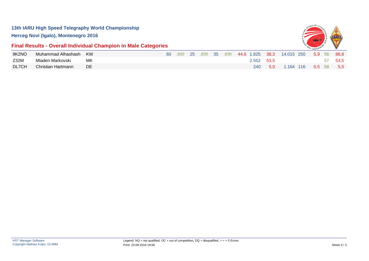

# **Final Results - Overall Individual Champion in Male Categories**

| 9K2NO | Muhammad Alhashash KW |    | 60 |  |  |  |            |         | 830 25 830 35 830 44,6 1.825 38,3 14.015 250 5,9 56 88,8 |  |      |      |
|-------|-----------------------|----|----|--|--|--|------------|---------|----------------------------------------------------------|--|------|------|
| Z32M  | Mladen Markovski      | МK |    |  |  |  | 2.552 53.5 |         |                                                          |  | - 57 | 53.5 |
| DL7CH | Christian Hartmann    | DE |    |  |  |  |            | 240 5.0 | 1.164 116 0,5 58 5,5                                     |  |      |      |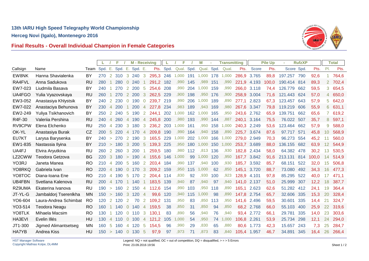

### **Final Results - Overall Individual Champion in Female Categories**

|          |                             |              | L   |                | F       |                | <b>M</b> - Receiving |                |       |      | F          |     | M          |     | <b>Transmitting</b> |       |       | <b>Pile Up</b> |            | <b>RufzXP</b> |       |                       | <b>Total</b> |
|----------|-----------------------------|--------------|-----|----------------|---------|----------------|----------------------|----------------|-------|------|------------|-----|------------|-----|---------------------|-------|-------|----------------|------------|---------------|-------|-----------------------|--------------|
| Callsign | Name                        | Team Spd. E. |     |                | Spd. E. |                | Spd. E.              |                | Pts.  | Spd. | Qual. Spd. |     | Qual. Spd. |     | Qual.               | Pts.  | Score | Pts.           | Score Spd. |               | Pts.  | PI.                   | Pts.         |
| EW8NK    | Hanna Shavialenka           | BY           | 270 |                | 2 310   | 3              | 240                  | 3              | 295,3 | 246  | 1,000      | 191 | 1,000      | 178 | 1,000               | 286,9 | 3.765 | 89,8           | 197.257    | 790           | 92,6  |                       | 764,6        |
| RA4FVL   | Anna Sadukova               | <b>RU</b>    | 280 |                | 280     | $\overline{0}$ | 240                  |                | 291,2 | 182  | ,990       | 145 | ,989       | 151 | ,990                | 221,9 | 4.193 | 100,0          | 190.414    | 814           | 89,3  | $\mathbf{2}^{\prime}$ | 702,4        |
| EW7-023  | Liudmila Basava             | BY           | 240 |                | 270     | 2              | 200                  | 5              | 254,6 | 208  | ,990       | 204 | 1,000      | 159 | ,990                | 266,0 | 3.118 | 74,4           | 126.779    | 662           | 59,5  | 3                     | 654,5        |
| UA4FGO   | Yulia Vyazovskaya           | <b>RU</b>    | 260 |                | 270     | 2              | <b>200</b>           | 3              | 262.5 | 229  | .900       | 198 | .950       | 176 | .900                | 258,9 | 3.004 | 71.6           | 121.443    | 624           | 57,0  | 4                     | 650,0        |
| EW3-052  | Anastasiya Khlystsik        | BY           | 240 | 2              | 230     | $\overline{0}$ | 190                  | $\overline{0}$ | 239.7 | 219  | ,990       | 206 | 1,000      | 189 | .890                | 277,1 | 2.823 | 67,3           | 123.457    | 643           | 57,9  | 5                     | 642,0        |
| EW7-022  | Anastaciya Behunova         | <b>BY</b>    | 230 | 4              | 200     |                | 200                  | 4              | 227,8 | 234  | ,983       | 189 | ,943       | 169 | ,980                | 267,6 | 3.347 | 79,8           | 119.219    | 606           | 55,9  | 6                     | 631,1        |
| EW2-249  | Yuliya Tsikhanovich         | BY           | 250 | 2              | 240     | 5              | 190                  | $\overline{2}$ | 244.1 | 202  | 000.       | 162 | 1.000      | 165 | .950                | 243,6 | 2.762 | 65,9           | 139.751    | 662           | 65,6  |                       | 619,2        |
| R4F-30   | Valeriia Pershina           | <b>RU</b>    | 240 | $\overline{4}$ | 260     | $\overline{4}$ | 190                  | $\overline{4}$ | 245,8 | 200  | ,980       | 193 | ,990       | 144 | .887                | 240.1 | 3.164 | 75,5           | 76.022     | 507           | 35,7  | 8                     | 597,1        |
| RV9CPW   | Elena Elchenko              | <b>RU</b>    | 250 | 4              | 230     | 3              | 180                  | 3              | 236,2 | 203  | ,000 161   |     | ,950       | 158 | ,000                | 240,3 | 2.249 | 53,6           | 123.464    | 662           | 57,9  | 9                     | 588,0        |
| OK-YL    | Anastasiya Burak            | CZ           | 200 | $\sqrt{5}$     | 220     | $\overline{4}$ | 170                  | $\overline{4}$ | 209.8 | 190  | ,990       | 164 | .940       | 158 | .890                | 225,7 | 3.674 | 87,6           | 97.717     | 571           | 45,8  | 10                    | 568,9        |
| EU7KT    | Larysa Barysenka            | <b>BY</b>    | 240 | $\geq$         | 270     | 2              | 190                  | 3              | 165.5 | 229  | 1,000      | 202 | 1,000      | 166 | 1,000               | 279,0 | 2.949 | 70,3           | 96.273     | 554           | 45,2  |                       | 560,0        |
| EW1-835  | Nastassia Ilyina            | BY           | 210 | $\geq$         | 180     | 3              | 200                  | 5              | 139,3 | 225  | ,950       | 180 | 1,000      | 150 | 1,000               | 253,7 | 3.689 | 88,0           | 136.155    | 682           | 63,9  | 12                    | 544,9        |
| UA4FJ    | Elvira Aryutkina            | <b>RU</b>    | 260 | 2              | 260     | 3              | 200                  |                | 259.5 | 180  | .980       | 112 | .813       | 136 | .930                | 182,8 | 2.434 | 58,0           | 64.382     | 478           | 30,2  | 13                    | 530,5        |
| LZ2CWW   | Teodora Getzova             | BG           | 220 | 3              | 180     | $\geq$         | 190                  | 4              | 155.6 | 146  | 1,000      | 99  | 1,000      | 120 | ,950                | 167,7 | 3.842 | 91,6           | 213.131    | 814           | 100,0 | 14                    | 514,9        |
| YO3RJ    | Janeta Manea                | <b>RO</b>    | 210 | 4              | 200     | -5             | 160                  | 2              | 203,4 | 184  | ,990       | 137 | ,940       | 100 | ,930                | 185.7 | 3.592 | 85,7           | 68.151     | 522           | 32,0  | 15                    | 506,8        |
| YO8RKQ   | Gabriela Ivan               | <b>RO</b>    | 220 | $\overline{4}$ | 190     | $\overline{0}$ | 170                  | 3              | 209.2 | 159  | .950       | 115 | 1,000      | 62  | .850                | 145.1 | 3.720 | 88,7           | 73.080     | 492           | 34,3  | 16                    | 477,3        |
| YO8TOC   | Diana-Ioana Ene             | <b>RO</b>    | 210 | $\overline{4}$ | 190     | -5             | 170                  | 2              | 204.4 | 114  | ,830       | 92  | ,930       | 100 | ,923                | 128,9 | 4.101 | 97,8           | 85.295     | 522           | 40,0  | 17                    | 471,1        |
| UB4FBN   | Svetlana Kalenova           | <b>RU</b>    | 200 | 4              | 170     |                | 140                  |                | 183,5 | 139  | ,940       | 87  | ,940       | 97  | ,940                | 141,0 | 2.137 | 51,0           | 25.999     | 307           | 12,2  | 18                    | 387,7        |
| RZ9UMA   | Ekaterina Ivanova           | RU           | 190 | $\geq$         | 160     | 2              | 150                  | $\overline{4}$ | 112.6 | 154  | .990       | 103 | .950       | 118 | .890                | 165.1 | 2.623 | 62,6           | 51.282     | 412           | 24.1  | 19                    | 364,4        |
| JT-YL-G  | Jambaldorj Tserenlkha       | <b>MN</b>    | 150 | $\geq$         | 160     | 3              | 120                  | $\overline{4}$ | 99,6  | 120  | ,940       | 115 | 1,000      | 98  | ,890                | 147,8 | 2.754 | 65,7           | 32.606     | 335           | 15,3  | <b>20</b>             | 328,4        |
| YO6-604  | Laura-Andrea Schimbat       | RO           | 120 | 2              | 120     | 2              | 70                   | 2              | 109,2 | 131  | ,950       | 83  | ,850       | 113 | ,950                | 141,6 | 2.496 | 59,5           | 30.601     | 335           | 14,4  | 21                    | 324,7        |
| YO3-514  | <b>Teodora Neagu</b>        | <b>RO</b>    | 160 | 1              | 140     | $\Omega$       | 140                  | $\overline{4}$ | 159,5 | 38   | .850       | 31  | .850       | 94  | ,850                | 68,2  | 2.768 | 66,0           | 55.103     | 400           | 25,9  | 22                    | 319,6        |
| YO8TLK   | Mihaela Macsim              | <b>RO</b>    | 130 |                | 120     | $\overline{0}$ | 110                  | 3              | 130,1 | 83   | .890       | 56  | .940       | 76  | ,940                | 93,4  | 2.772 | 66,1           | 29.781     | 335           | 14,0  | 23                    | 303,6        |
| HA3EVI   | Evelin Illés                | HU           | 130 | 4              | 110     | $\overline{0}$ | 100                  | $\overline{4}$ | 121,2 | 105  | 1,000      | 54  | ,950       | 74  | 1,000               | 106,8 | 2.261 | 53,9           | 25.734     | 298           | 12,1  | 24                    | 294,0        |
| JT1-300  | <b>Jigmed Alimantsetseg</b> | MN           | 160 | 5              | 160     | $\overline{4}$ | 120                  | 5              | 154,5 | 96   | .990       | 29  | .830       | 65  | ,880                | 80,6  | 1.773 | 42,3           | 15.657     | 243           | 7,3   | 25                    | 284,7        |
| HA7YB    | Andrea Kiss                 | HU           | 150 | $\geq$         | 140     | $\overline{0}$ | 130                  | 5              | 97,9  | 97   | ,973       | 71  | .873       | 83  | .840                | 105,4 | 1.957 | 46,7           | 34.891     | 345           | 16,4  | 26                    | 266,4        |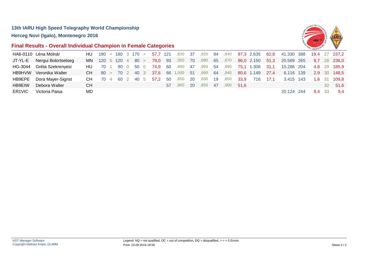

### **Final Results - Overall Individual Champion in Female Categories**

|        | HA6-0110 Léna Molnár        | HU $190 > 180$ 3 170 $>$ |  |  |  | 57.7 121                    |     | ,830 37                            |     |              |      |                          |      |                 |         | 820 94 840 97,3 2.635 62,8 41.330 388 19,4 27 237,2 |        |              |
|--------|-----------------------------|--------------------------|--|--|--|-----------------------------|-----|------------------------------------|-----|--------------|------|--------------------------|------|-----------------|---------|-----------------------------------------------------|--------|--------------|
|        | JT-YL-E Nergui Bolortsetseg |                          |  |  |  | MN 120 5 120 4 80 > 79,0 93 |     | ,950                               | 70  | ,890         |      | 65 ,870                  |      | 96,0 2.150      | 51.3    | 20.569 265                                          |        | 9,7 28 236,0 |
|        | HG-3044 Gréta Szekrenyesi   |                          |  |  |  | HU 70 1 90 0 50 0 74,9 60   |     | ,990 47                            |     | ,993 54      |      | ,990                     |      | 75,1 1.306 31,1 |         | 10.286 204                                          |        | 4,8 29 185,9 |
|        | HB9HVW Veronika Walter      |                          |  |  |  |                             |     | CH 80 > 70 2 40 3 37,6 66 1,000 51 |     | ,890 64 ,940 |      |                          |      | 80,6 1.149 27,4 |         | 6.116 139                                           |        | 2,9 30 148,5 |
|        | HB9EPE Dora Mayer-Sigrist   | CH 70 4 60 2 40 5        |  |  |  | 57.2                        | -50 | ,850                               | -20 | ,830         | - 19 | ,850                     | 33,9 | 716             | $-17.1$ | 3.415 143                                           |        | 1,6 31 109,8 |
| HB9EIW | Debora Walter               | CН                       |  |  |  |                             |     | 57.900                             | -20 |              |      | ,850 47 ,900 <b>51.6</b> |      |                 |         |                                                     |        | 32 51,6      |
| ER1VIC | Victoria Paisa              | MD.                      |  |  |  |                             |     |                                    |     |              |      |                          |      |                 |         | 20.124 244                                          | 9.4 33 | 9.4          |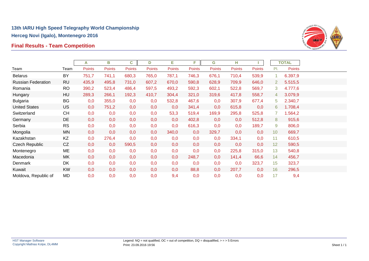# **Final Results - Team Competition**



|                           |           | A             | в             | C             | D             | Е      | F.     | G             | н      |               |                       | <b>TOTAL</b>  |  |
|---------------------------|-----------|---------------|---------------|---------------|---------------|--------|--------|---------------|--------|---------------|-----------------------|---------------|--|
| Team                      | Team      | <b>Points</b> | <b>Points</b> | <b>Points</b> | <b>Points</b> | Points | Points | <b>Points</b> | Points | <b>Points</b> | PI.                   | <b>Points</b> |  |
| <b>Belarus</b>            | <b>BY</b> | 751,7         | 741,1         | 680,3         | 765,0         | 787,1  | 746,3  | 676,1         | 710,4  | 539,9         | 1                     | 6.397,9       |  |
| <b>Russian Federation</b> | <b>RU</b> | 435,9         | 495,8         | 731,0         | 607,2         | 670,0  | 590,8  | 628,9         | 709,9  | 646,0         | $\mathbf{2}^{\prime}$ | 5.515,5       |  |
| Romania                   | <b>RO</b> | 390,2         | 523,4         | 486,4         | 597,5         | 493,2  | 592,3  | 602,1         | 522,8  | 569,7         | 3                     | 4.777,6       |  |
| Hungary                   | HU        | 289,3         | 266,1         | 192,3         | 410,7         | 304,4  | 321,0  | 319,6         | 417,8  | 558,7         | 4                     | 3.079,9       |  |
| <b>Bulgaria</b>           | <b>BG</b> | 0,0           | 355,0         | 0,0           | 0,0           | 532,8  | 467,6  | 0,0           | 307,9  | 677,4         | 5                     | 2.340,7       |  |
| <b>United States</b>      | <b>US</b> | 0,0           | 751,2         | 0,0           | 0,0           | 0,0    | 341,4  | 0,0           | 615,8  | 0,0           | 6                     | 1.708,4       |  |
| Switzerland               | <b>CH</b> | 0,0           | 0,0           | 0,0           | 0,0           | 53,3   | 519,4  | 169,9         | 295,8  | 525,8         | $\overline{7}$        | 1.564,2       |  |
| Germany                   | DE        | 0,0           | 0,0           | 0,0           | 0,0           | 0,0    | 402,8  | 0,0           | 0,0    | 512,8         | 8                     | 915,6         |  |
| Serbia                    | <b>RS</b> | 0,0           | 0,0           | 0,0           | 0,0           | 0,0    | 616,3  | 0,0           | 0,0    | 189,7         | 9                     | 806,0         |  |
| Mongolia                  | <b>MN</b> | 0,0           | 0,0           | 0,0           | 0,0           | 340,0  | 0,0    | 329,7         | 0,0    | 0,0           | 10 <sup>°</sup>       | 669,7         |  |
| Kazakhstan                | KZ        | 0,0           | 276,4         | 0,0           | 0,0           | 0,0    | 0,0    | 0,0           | 334,1  | 0,0           | 11                    | 610,5         |  |
| Czech Republic            | CZ        | 0,0           | 0,0           | 590,5         | 0,0           | 0,0    | 0,0    | 0,0           | 0,0    | 0,0           | 12                    | 590,5         |  |
| Montenegro                | ME        | 0,0           | 0,0           | 0,0           | 0,0           | 0,0    | 0,0    | 0,0           | 225,8  | 315,0         | 13                    | 540,8         |  |
| Macedonia                 | MK        | 0,0           | 0,0           | 0,0           | 0,0           | 0,0    | 248,7  | 0,0           | 141,4  | 66,6          | 14                    | 456,7         |  |
| Denmark                   | DK        | 0,0           | 0,0           | 0,0           | 0,0           | 0,0    | 0,0    | 0,0           | 0,0    | 323,7         | 15                    | 323,7         |  |
| Kuwait                    | <b>KW</b> | 0,0           | 0,0           | 0,0           | 0,0           | 0,0    | 88,8   | 0,0           | 207,7  | 0,0           | 16                    | 296,5         |  |
| Moldova, Republic of      | MD        | 0,0           | 0,0           | 0,0           | 0,0           | 9,4    | 0,0    | 0,0           | 0,0    | 0,0           | 17                    | 9,4           |  |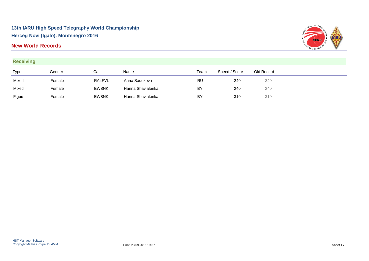### **New World Records**





| Type   | Gender | Call   | Name              | Team      | Speed / Score | Old Record |
|--------|--------|--------|-------------------|-----------|---------------|------------|
| Mixed  | Female | RA4FVL | Anna Sadukova     | <b>RU</b> | 240           | 240        |
| Mixed  | Female | EW8NK  | Hanna Shavialenka | BY        | 240           | 240        |
| Figurs | Female | EW8NK  | Hanna Shavialenka | BY        | 310           | 310        |